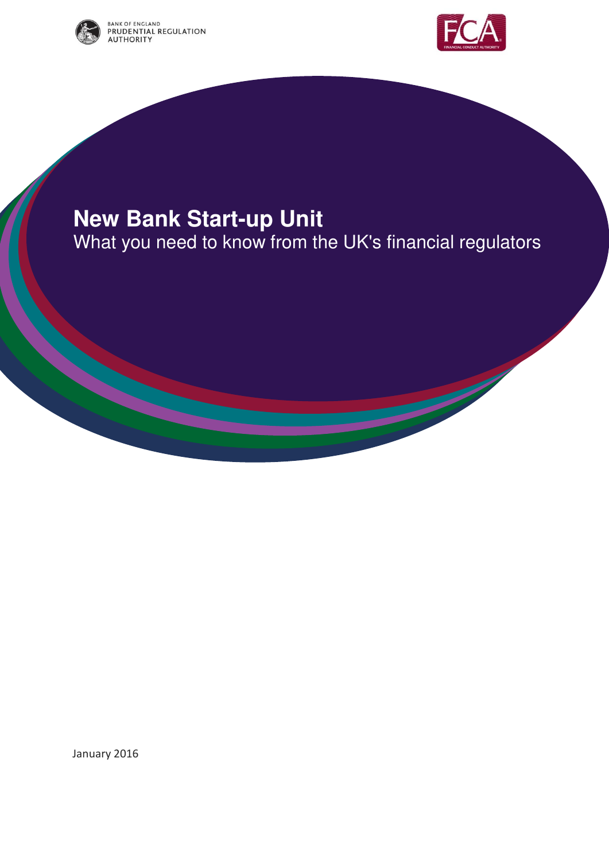



# **New Bank Start-up Unit**

What you need to know from the UK's financial regulators

January 2016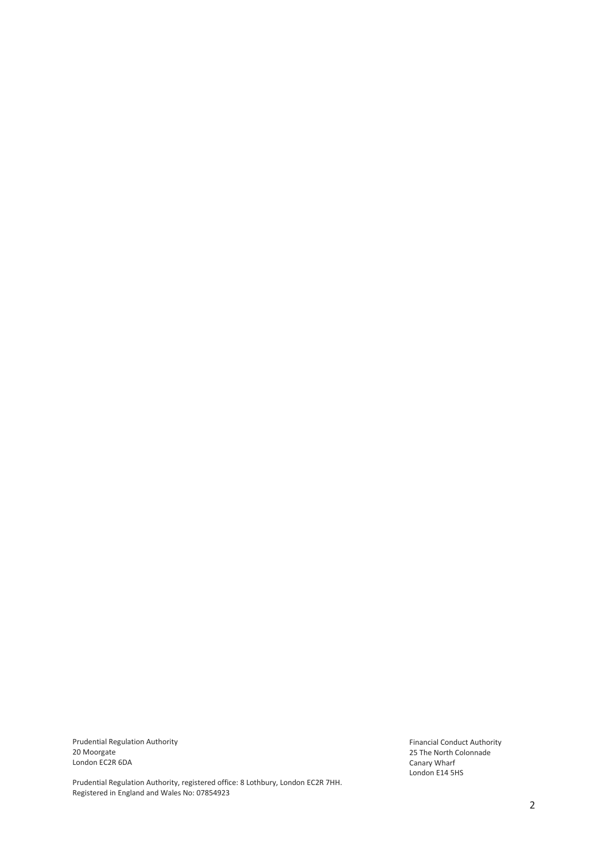Prudential Regulation Authority 20 Moorgate London EC2R 6DA

Prudential Regulation Authority, registered office: 8 Lothbury, London EC2R 7HH. Registered in England and Wales No: 07854923

Financial Conduct Authority 25 The North Colonnade Canary Wharf London E14 5HS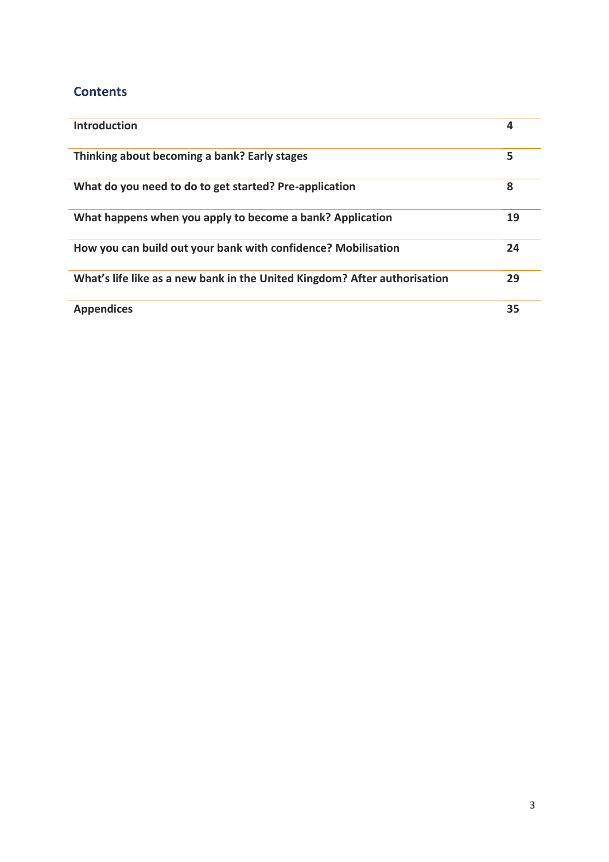# **Contents**

| <b>Introduction</b>                                                       | 4  |
|---------------------------------------------------------------------------|----|
| Thinking about becoming a bank? Early stages                              | 5  |
| What do you need to do to get started? Pre-application                    | 8  |
| What happens when you apply to become a bank? Application                 | 19 |
| How you can build out your bank with confidence? Mobilisation             | 24 |
| What's life like as a new bank in the United Kingdom? After authorisation | 29 |
| <b>Appendices</b>                                                         | 35 |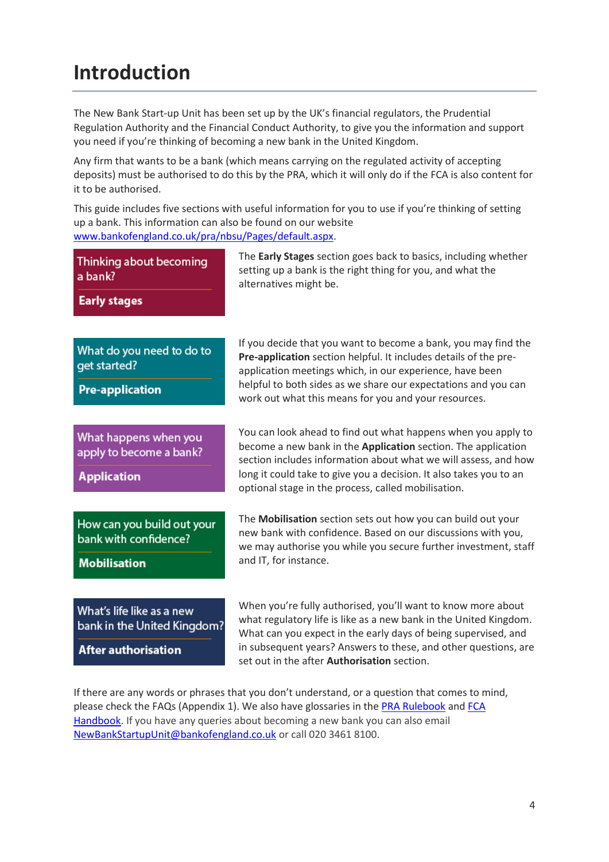# **Introduction**

The New Bank Start-up Unit has been set up by the UK's financial regulators, the Prudential Regulation Authority and the Financial Conduct Authority, to give you the information and support you need if you're thinking of becoming a new bank in the United Kingdom.

Any firm that wants to be a bank (which means carrying on the regulated activity of accepting deposits) must be authorised to do this by the PRA, which it will only do if the FCA is also content for it to be authorised.

This guide includes five sections with useful information for you to use if you're thinking of setting up a bank. This information can also be found on our website [www.bankofengland.co.uk/pra/nbsu/Pages/default.aspx.](http://www.bankofengland.co.uk/pra/nbsu/Pages/default.aspx)

| Thinking about becoming<br>a bank?<br><b>Early stages</b>                              | The <b>Early Stages</b> section goes back to basics, including whether<br>setting up a bank is the right thing for you, and what the<br>alternatives might be.                                                                                                                                                                 |
|----------------------------------------------------------------------------------------|--------------------------------------------------------------------------------------------------------------------------------------------------------------------------------------------------------------------------------------------------------------------------------------------------------------------------------|
| What do you need to do to<br>get started?<br><b>Pre-application</b>                    | If you decide that you want to become a bank, you may find the<br>Pre-application section helpful. It includes details of the pre-<br>application meetings which, in our experience, have been<br>helpful to both sides as we share our expectations and you can<br>work out what this means for you and your resources.       |
| What happens when you<br>apply to become a bank?<br><b>Application</b>                 | You can look ahead to find out what happens when you apply to<br>become a new bank in the Application section. The application<br>section includes information about what we will assess, and how<br>long it could take to give you a decision. It also takes you to an<br>optional stage in the process, called mobilisation. |
| How can you build out your<br>bank with confidence?<br><b>Mobilisation</b>             | The Mobilisation section sets out how you can build out your<br>new bank with confidence. Based on our discussions with you,<br>we may authorise you while you secure further investment, staff<br>and IT, for instance.                                                                                                       |
| What's life like as a new<br>bank in the United Kingdom?<br><b>After authorisation</b> | When you're fully authorised, you'll want to know more about<br>what regulatory life is like as a new bank in the United Kingdom.<br>What can you expect in the early days of being supervised, and<br>in subsequent years? Answers to these, and other questions, are<br>set out in the after <b>Authorisation</b> section.   |

If there are any words or phrases that you don't understand, or a question that comes to mind, please check the FAQs (Appendix 1). We also have glossaries in the [PRA Rulebook](http://www.prarulebook.co.uk/rulebook/Glossary/Rulebook/211130/15-01-2016/A) and [FCA](https://www.handbook.fca.org.uk/handbook/glossary/)  [Handbook.](https://www.handbook.fca.org.uk/handbook/glossary/) If you have any queries about becoming a new bank you can also email [NewBankStartupUnit@bankofengland.co.uk](mailto:NewBankStartupUnit@bankofengland.co.uk) or call 020 3461 8100.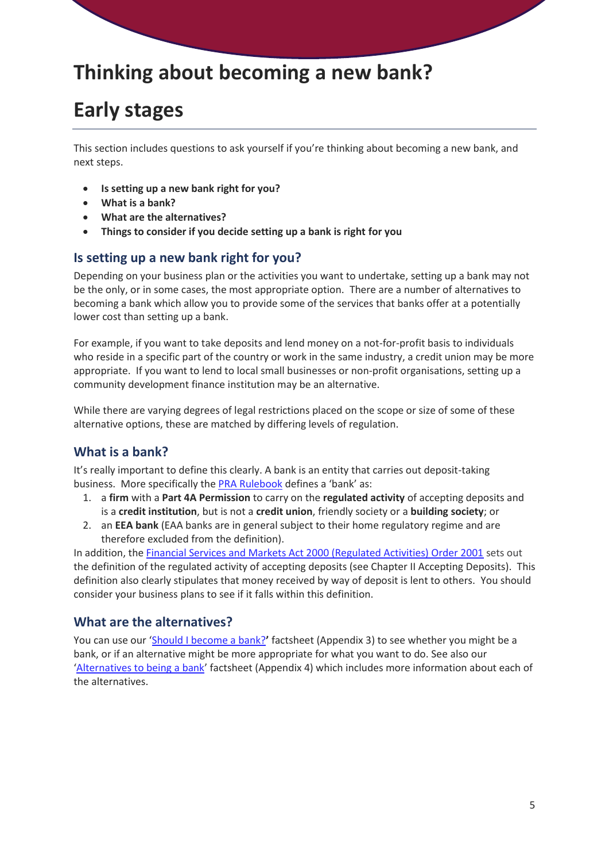# **Thinking about becoming a new bank?**

# **Early stages**

This section includes questions to ask yourself if you're thinking about becoming a new bank, and next steps.

- **Is setting up a new bank right for you?**
- **What is a bank?**
- **What are the alternatives?**
- **Things to consider if you decide setting up a bank is right for you**

### **Is setting up a new bank right for you?**

Depending on your business plan or the activities you want to undertake, setting up a bank may not be the only, or in some cases, the most appropriate option. There are a number of alternatives to becoming a bank which allow you to provide some of the services that banks offer at a potentially lower cost than setting up a bank.

For example, if you want to take deposits and lend money on a not-for-profit basis to individuals who reside in a specific part of the country or work in the same industry, a credit union may be more appropriate. If you want to lend to local small businesses or non-profit organisations, setting up a community development finance institution may be an alternative.

While there are varying degrees of legal restrictions placed on the scope or size of some of these alternative options, these are matched by differing levels of regulation.

# **What is a bank?**

It's really important to define this clearly. A bank is an entity that carries out deposit-taking business. More specifically th[e PRA Rulebook](http://www.prarulebook.co.uk/) defines a 'bank' as:

- 1. a **firm** with a **Part 4A Permission** to carry on the **regulated activity** of accepting deposits and is a **credit institution**, but is not a **credit union**, friendly society or a **building society**; or
- 2. an **EEA bank** (EAA banks are in general subject to their home regulatory regime and are therefore excluded from the definition).

In addition, the [Financial Services and Markets Act 2000 \(Regulated Activities\) Order 2001](http://www.legislation.gov.uk/uksi/2001/544/contents/made) sets out the definition of the regulated activity of accepting deposits (see Chapter II Accepting Deposits). This definition also clearly stipulates that money received by way of deposit is lent to others. You should consider your business plans to see if it falls within this definition.

### **What are the alternatives?**

You can use our '[Should I become a bank?](http://www.bankofengland.co.uk/pra/Documents/authorisations/newfirmauths/shouldibecomeabank.pdf)**'** factsheet (Appendix 3) to see whether you might be a bank, or if an alternative might be more appropriate for what you want to do. See also our '[Alternatives to being a bank](http://www.bankofengland.co.uk/pra/Documents/authorisations/newfirmauths/alternativestobeingabank.pdf)' factsheet (Appendix 4) which includes more information about each of the alternatives.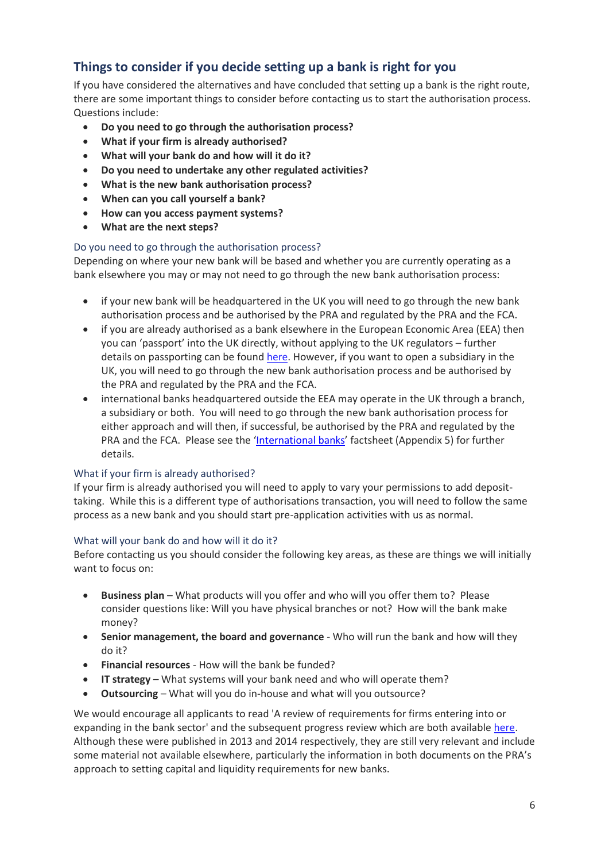# **Things to consider if you decide setting up a bank is right for you**

If you have considered the alternatives and have concluded that setting up a bank is the right route, there are some important things to consider before contacting us to start the authorisation process. Questions include:

- **Do you need to go through the authorisation process?**
- **What if your firm is already authorised?**
- **What will your bank do and how will it do it?**
- **Do you need to undertake any other regulated activities?**
- **What is the new bank authorisation process?**
- **When can you call yourself a bank?**
- **How can you access payment systems?**
- **What are the next steps?**

#### Do you need to go through the authorisation process?

Depending on where your new bank will be based and whether you are currently operating as a bank elsewhere you may or may not need to go through the new bank authorisation process:

- if your new bank will be headquartered in the UK you will need to go through the new bank authorisation process and be authorised by the PRA and regulated by the PRA and the FCA.
- if you are already authorised as a bank elsewhere in the European Economic Area (EEA) then you can 'passport' into the UK directly, without applying to the UK regulators – further details on passporting can be foun[d here.](https://www.the-fca.org.uk/passporting?field_fcasf_sector=251&field_fcasf_page_category=unset) However, if you want to open a subsidiary in the UK, you will need to go through the new bank authorisation process and be authorised by the PRA and regulated by the PRA and the FCA.
- international banks headquartered outside the EEA may operate in the UK through a branch, a subsidiary or both. You will need to go through the new bank authorisation process for either approach and will then, if successful, be authorised by the PRA and regulated by the PRA and the FCA. Please see the '[International banks](http://www.bankofengland.co.uk/pra/Documents/authorisations/newfirmauths/internationalbanks.pdf)' factsheet (Appendix 5) for further details.

#### What if your firm is already authorised?

If your firm is already authorised you will need to apply to vary your permissions to add deposittaking. While this is a different type of authorisations transaction, you will need to follow the same process as a new bank and you should start pre-application activities with us as normal.

#### What will your bank do and how will it do it?

Before contacting us you should consider the following key areas, as these are things we will initially want to focus on:

- **Business plan**  What products will you offer and who will you offer them to? Please consider questions like: Will you have physical branches or not? How will the bank make money?
- **Senior management, the board and governance** Who will run the bank and how will they do it?
- **Financial resources** How will the bank be funded?
- **IT strategy** What systems will your bank need and who will operate them?
- **Outsourcing** What will you do in-house and what will you outsource?

We would encourage all applicants to read 'A review of requirements for firms entering into or expanding in the bank sector' and the subsequent progress review which are both availabl[e here.](http://www.bankofengland.co.uk/pra/Pages/publications/reports/2014/reviewrequirements.aspx) Although these were published in 2013 and 2014 respectively, they are still very relevant and include some material not available elsewhere, particularly the information in both documents on the PRA's approach to setting capital and liquidity requirements for new banks.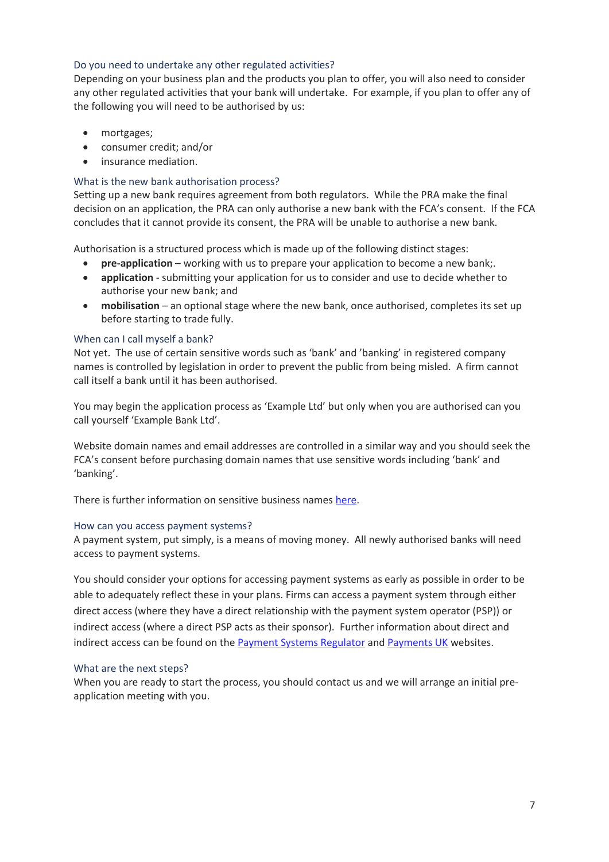#### Do you need to undertake any other regulated activities?

Depending on your business plan and the products you plan to offer, you will also need to consider any other regulated activities that your bank will undertake. For example, if you plan to offer any of the following you will need to be authorised by us:

- mortgages;
- consumer credit; and/or
- **•** insurance mediation.

#### What is the new bank authorisation process?

Setting up a new bank requires agreement from both regulators. While the PRA make the final decision on an application, the PRA can only authorise a new bank with the FCA's consent. If the FCA concludes that it cannot provide its consent, the PRA will be unable to authorise a new bank.

Authorisation is a structured process which is made up of the following distinct stages:

- **pre-application –** working with us to prepare your application to become a new bank;.
- **application** submitting your application for us to consider and use to decide whether to authorise your new bank; and
- **mobilisation** an optional stage where the new bank, once authorised, completes its set up before starting to trade fully.

#### When can I call myself a bank?

Not yet. The use of certain sensitive words such as 'bank' and 'banking' in registered company names is controlled by legislation in order to prevent the public from being misled. A firm cannot call itself a bank until it has been authorised.

You may begin the application process as 'Example Ltd' but only when you are authorised can you call yourself 'Example Bank Ltd'.

Website domain names and email addresses are controlled in a similar way and you should seek the FCA's consent before purchasing domain names that use sensitive words including 'bank' and 'banking'.

There is further information on sensitive business names [here.](https://www.the-fca.org.uk/sensitive-names?field_fcasf_sector=unset&field_fcasf_page_category=unset)

#### How can you access payment systems?

A payment system, put simply, is a means of moving money. All newly authorised banks will need access to payment systems.

You should consider your options for accessing payment systems as early as possible in order to be able to adequately reflect these in your plans. Firms can access a payment system through either direct access (where they have a direct relationship with the payment system operator (PSP)) or indirect access (where a direct PSP acts as their sponsor). Further information about direct and indirect access can be found on the [Payment Systems Regulator](https://www.psr.org.uk/psr-focus/access) and [Payments UK](http://www.accesstopaymentsystems.co.uk/) websites.

#### What are the next steps?

When you are ready to start the process, you should contact us and we will arrange an initial preapplication meeting with you.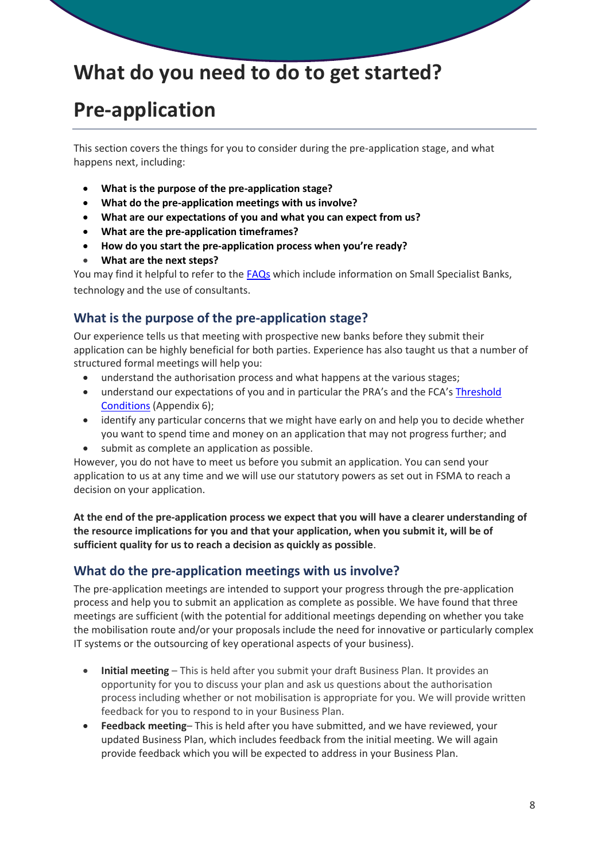# **What do you need to do to get started?**

# **Pre-application**

This section covers the things for you to consider during the pre-application stage, and what happens next, including:

- **What is the purpose of the pre-application stage?**
- **What do the pre-application meetings with us involve?**
- **What are our expectations of you and what you can expect from us?**
- **What are the pre-application timeframes?**
- **How do you start the pre-application process when you're ready?**
- **What are the next steps?**

You may find it helpful to refer to the [FAQs](http://www.bankofengland.co.uk/pra/Documents/authorisations/newfirmauths/nbsufaqs.pdf) which include information on Small Specialist Banks, technology and the use of consultants.

# **What is the purpose of the pre-application stage?**

Our experience tells us that meeting with prospective new banks before they submit their application can be highly beneficial for both parties. Experience has also taught us that a number of structured formal meetings will help you:

- understand the authorisation process and what happens at the various stages;
- understand our expectations of you and in particular the PRA's and the FCA's Threshold [Conditions](http://www.bankofengland.co.uk/pra/Documents/authorisations/newfirmauths/thresholdconditionsfactsheet.pdf) (Appendix 6);
- identify any particular concerns that we might have early on and help you to decide whether you want to spend time and money on an application that may not progress further; and
- submit as complete an application as possible.

However, you do not have to meet us before you submit an application. You can send your application to us at any time and we will use our statutory powers as set out in FSMA to reach a decision on your application.

**At the end of the pre-application process we expect that you will have a clearer understanding of the resource implications for you and that your application, when you submit it, will be of sufficient quality for us to reach a decision as quickly as possible**.

# **What do the pre-application meetings with us involve?**

The pre-application meetings are intended to support your progress through the pre-application process and help you to submit an application as complete as possible. We have found that three meetings are sufficient (with the potential for additional meetings depending on whether you take the mobilisation route and/or your proposals include the need for innovative or particularly complex IT systems or the outsourcing of key operational aspects of your business).

- **Initial meeting**  This is held after you submit your draft Business Plan. It provides an opportunity for you to discuss your plan and ask us questions about the authorisation process including whether or not mobilisation is appropriate for you. We will provide written feedback for you to respond to in your Business Plan.
- **Feedback meeting** This is held after you have submitted, and we have reviewed, your updated Business Plan, which includes feedback from the initial meeting. We will again provide feedback which you will be expected to address in your Business Plan.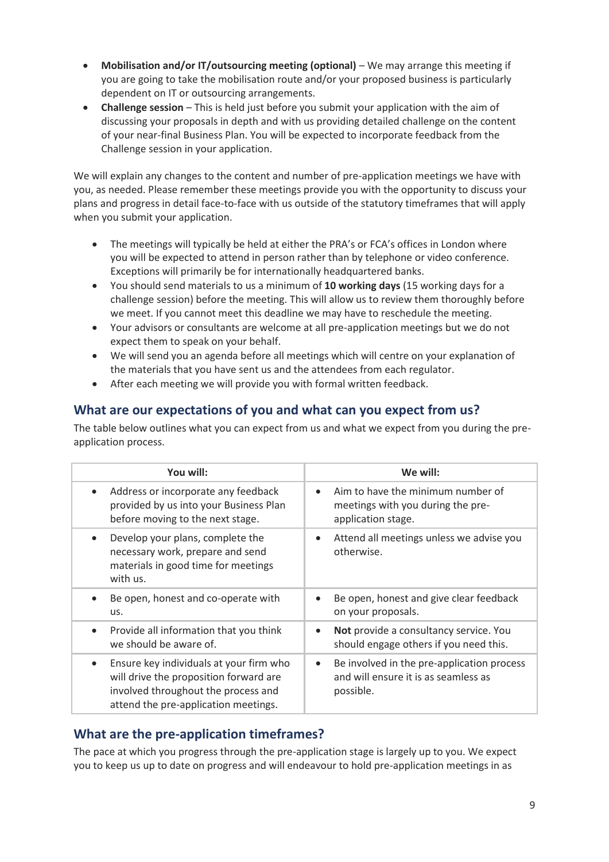- **Mobilisation and/or IT/outsourcing meeting (optional)** We may arrange this meeting if you are going to take the mobilisation route and/or your proposed business is particularly dependent on IT or outsourcing arrangements.
- **Challenge session**  This is held just before you submit your application with the aim of discussing your proposals in depth and with us providing detailed challenge on the content of your near-final Business Plan. You will be expected to incorporate feedback from the Challenge session in your application.

We will explain any changes to the content and number of pre-application meetings we have with you, as needed. Please remember these meetings provide you with the opportunity to discuss your plans and progress in detail face-to-face with us outside of the statutory timeframes that will apply when you submit your application.

- The meetings will typically be held at either the PRA's or FCA's offices in London where you will be expected to attend in person rather than by telephone or video conference. Exceptions will primarily be for internationally headquartered banks.
- You should send materials to us a minimum of **10 working days** (15 working days for a challenge session) before the meeting. This will allow us to review them thoroughly before we meet. If you cannot meet this deadline we may have to reschedule the meeting.
- Your advisors or consultants are welcome at all pre-application meetings but we do not expect them to speak on your behalf.
- We will send you an agenda before all meetings which will centre on your explanation of the materials that you have sent us and the attendees from each regulator.
- After each meeting we will provide you with formal written feedback.

# **What are our expectations of you and what can you expect from us?**

The table below outlines what you can expect from us and what we expect from you during the preapplication process.

| You will:                                                                                                                                                                     | We will:                                                                                                     |
|-------------------------------------------------------------------------------------------------------------------------------------------------------------------------------|--------------------------------------------------------------------------------------------------------------|
| Address or incorporate any feedback<br>$\bullet$<br>provided by us into your Business Plan<br>before moving to the next stage.                                                | Aim to have the minimum number of<br>$\bullet$<br>meetings with you during the pre-<br>application stage.    |
| Develop your plans, complete the<br>$\bullet$<br>necessary work, prepare and send<br>materials in good time for meetings<br>with us.                                          | Attend all meetings unless we advise you<br>$\bullet$<br>otherwise.                                          |
| Be open, honest and co-operate with<br>us.                                                                                                                                    | Be open, honest and give clear feedback<br>$\bullet$<br>on your proposals.                                   |
| Provide all information that you think<br>$\bullet$<br>we should be aware of.                                                                                                 | Not provide a consultancy service. You<br>$\bullet$<br>should engage others if you need this.                |
| Ensure key individuals at your firm who<br>$\bullet$<br>will drive the proposition forward are<br>involved throughout the process and<br>attend the pre-application meetings. | Be involved in the pre-application process<br>$\bullet$<br>and will ensure it is as seamless as<br>possible. |

# **What are the pre-application timeframes?**

The pace at which you progress through the pre-application stage is largely up to you. We expect you to keep us up to date on progress and will endeavour to hold pre-application meetings in as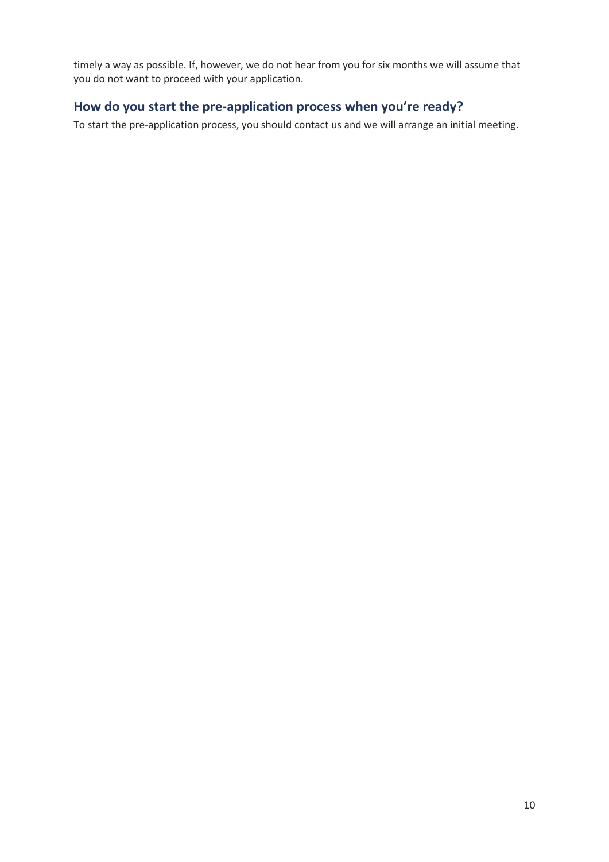timely a way as possible. If, however, we do not hear from you for six months we will assume that you do not want to proceed with your application.

# **How do you start the pre-application process when you're ready?**

To start the pre-application process, you shoul[d contact us](http://boe-cms-authoring/pra/nbsu/Pages/default.aspx#contactus) and we will arrange an initial meeting.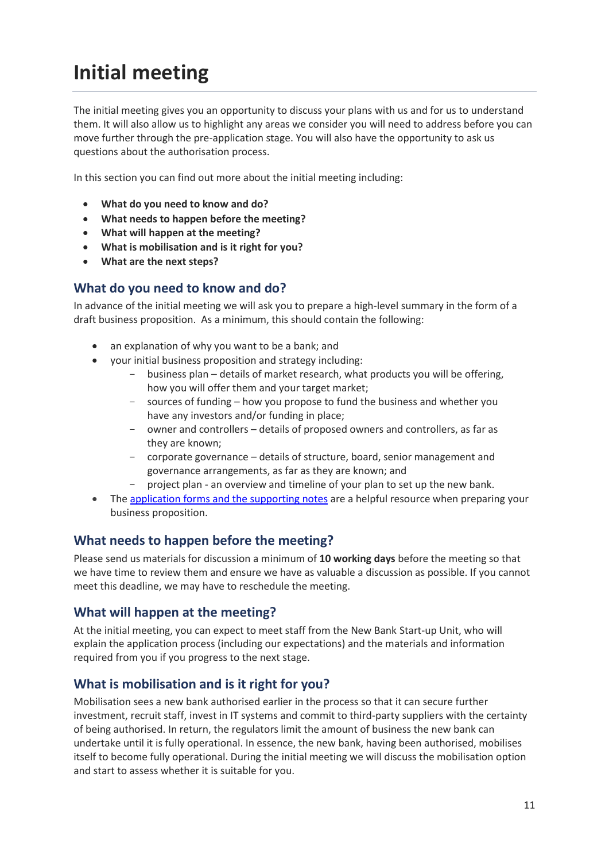# **Initial meeting**

The initial meeting gives you an opportunity to discuss your plans with us and for us to understand them. It will also allow us to highlight any areas we consider you will need to address before you can move further through the pre-application stage. You will also have the opportunity to ask us questions about the authorisation process.

In this section you can find out more about the initial meeting including:

- **What do you need to know and do?**
- **What needs to happen before the meeting?**
- **What will happen at the meeting?**
- **What is mobilisation and is it right for you?**
- **What are the next steps?**

### **What do you need to know and do?**

In advance of the initial meeting we will ask you to prepare a high-level summary in the form of a draft business proposition. As a minimum, this should contain the following:

- an explanation of why you want to be a bank; and
- your initial business proposition and strategy including:
	- business plan details of market research, what products you will be offering, how you will offer them and your target market;
	- sources of funding how you propose to fund the business and whether you have any investors and/or funding in place;
	- owner and controllers details of proposed owners and controllers, as far as they are known;
	- corporate governance details of structure, board, senior management and governance arrangements, as far as they are known; and
	- project plan an overview and timeline of your plan to set up the new bank.
- The [application forms and the supporting notes](http://www.bankofengland.co.uk/pra/Pages/authorisations/newfirm/default.aspx) are a helpful resource when preparing your business proposition.

# **What needs to happen before the meeting?**

Please send us materials for discussion a minimum of **10 working days** before the meeting so that we have time to review them and ensure we have as valuable a discussion as possible. If you cannot meet this deadline, we may have to reschedule the meeting.

### **What will happen at the meeting?**

At the initial meeting, you can expect to meet staff from the New Bank Start-up Unit, who will explain the application process (including our expectations) and the materials and information required from you if you progress to the next stage.

# **What is mobilisation and is it right for you?**

Mobilisation sees a new bank authorised earlier in the process so that it can secure further investment, recruit staff, invest in IT systems and commit to third-party suppliers with the certainty of being authorised. In return, the regulators limit the amount of business the new bank can undertake until it is fully operational. In essence, the new bank, having been authorised, mobilises itself to become fully operational. During the initial meeting we will discuss the mobilisation option and start to assess whether it is suitable for you.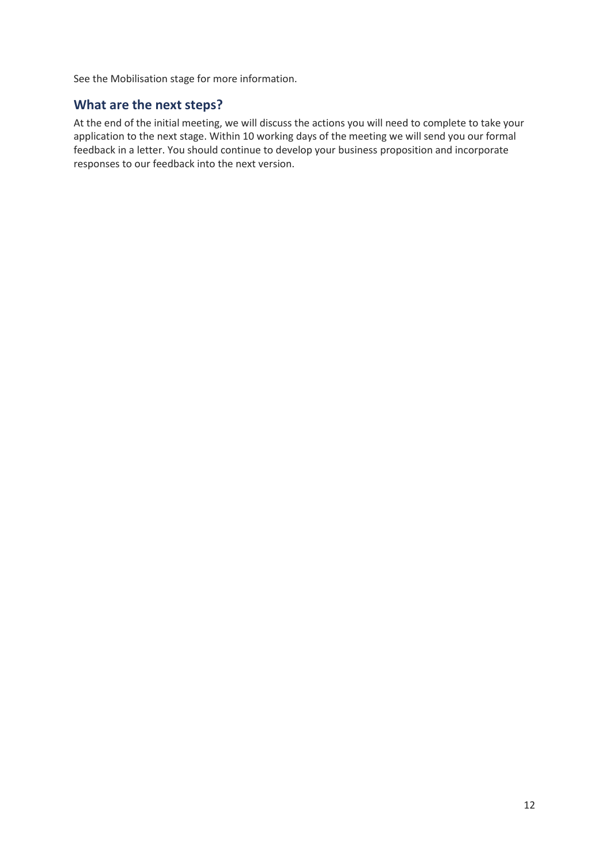See the [Mobilisation stage](http://boe-cms-authoring/pra/nbsu/Pages/mobilisation.aspx) for more information.

# **What are the next steps?**

At the end of the initial meeting, we will discuss the actions you will need to complete to take your application to the next stage. Within 10 working days of the meeting we will send you our formal feedback in a letter. You should continue to develop your business proposition and incorporate responses to our feedback into the next version.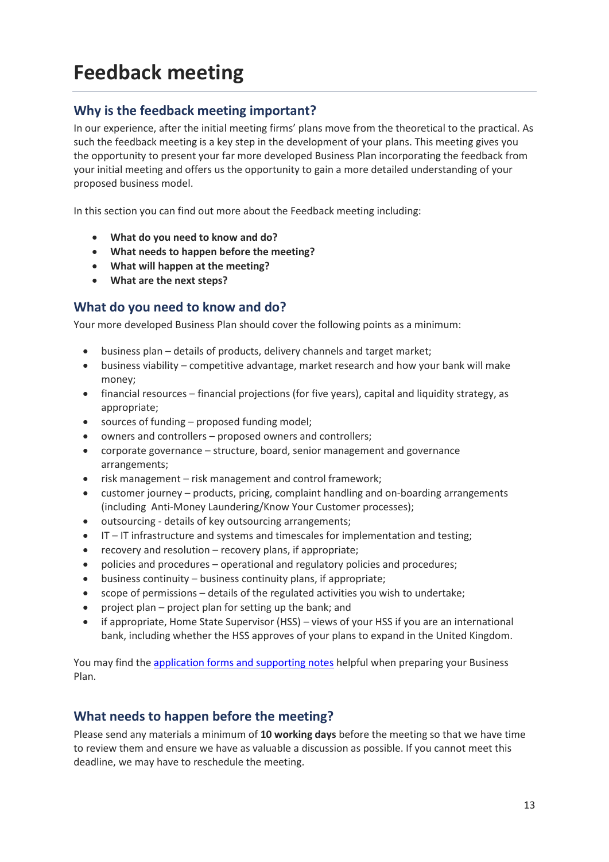# **Feedback meeting**

# **Why is the feedback meeting important?**

In our experience, after the initial meeting firms' plans move from the theoretical to the practical. As such the feedback meeting is a key step in the development of your plans. This meeting gives you the opportunity to present your far more developed Business Plan incorporating the feedback from your initial meeting and offers us the opportunity to gain a more detailed understanding of your proposed business model.

In this section you can find out more about the Feedback meeting including:

- **What do you need to know and do?**
- **What needs to happen before the meeting?**
- **What will happen at the meeting?**
- **What are the next steps?**

### **What do you need to know and do?**

Your more developed Business Plan should cover the following points as a minimum:

- business plan details of products, delivery channels and target market;
- business viability competitive advantage, market research and how your bank will make money;
- financial resources financial projections (for five years), capital and liquidity strategy, as appropriate;
- sources of funding proposed funding model;
- owners and controllers proposed owners and controllers;
- corporate governance structure, board, senior management and governance arrangements;
- risk management risk management and control framework;
- customer journey products, pricing, complaint handling and on-boarding arrangements (including Anti-Money Laundering/Know Your Customer processes);
- outsourcing details of key outsourcing arrangements;
- IT IT infrastructure and systems and timescales for implementation and testing;
- recovery and resolution recovery plans, if appropriate;
- policies and procedures operational and regulatory policies and procedures;
- business continuity business continuity plans, if appropriate;
- scope of permissions details of the regulated activities you wish to undertake;
- project plan project plan for setting up the bank; and
- if appropriate, Home State Supervisor (HSS) views of your HSS if you are an international bank, including whether the HSS approves of your plans to expand in the United Kingdom.

You may find the [application forms and supporting notes](http://www.bankofengland.co.uk/pra/Pages/authorisations/newfirm/default.aspx#forms) helpful when preparing your Business Plan.

# **What needs to happen before the meeting?**

Please send any materials a minimum of **10 working days** before the meeting so that we have time to review them and ensure we have as valuable a discussion as possible. If you cannot meet this deadline, we may have to reschedule the meeting.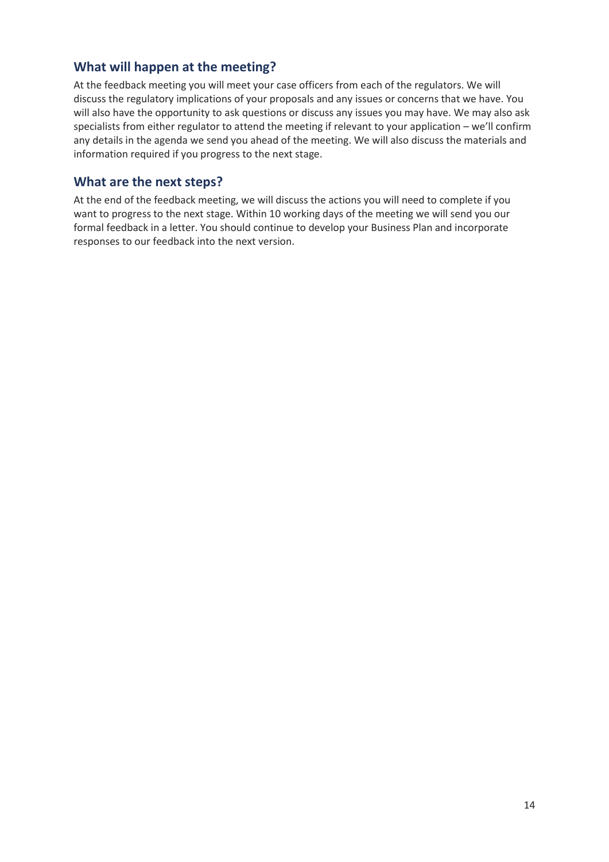# **What will happen at the meeting?**

At the feedback meeting you will meet your case officers from each of the regulators. We will discuss the regulatory implications of your proposals and any issues or concerns that we have. You will also have the opportunity to ask questions or discuss any issues you may have. We may also ask specialists from either regulator to attend the meeting if relevant to your application – we'll confirm any details in the agenda we send you ahead of the meeting. We will also discuss the materials and information required if you progress to the next stage.

# **What are the next steps?**

At the end of the feedback meeting, we will discuss the actions you will need to complete if you want to progress to the next stage. Within 10 working days of the meeting we will send you our formal feedback in a letter. You should continue to develop your Business Plan and incorporate responses to our feedback into the next version.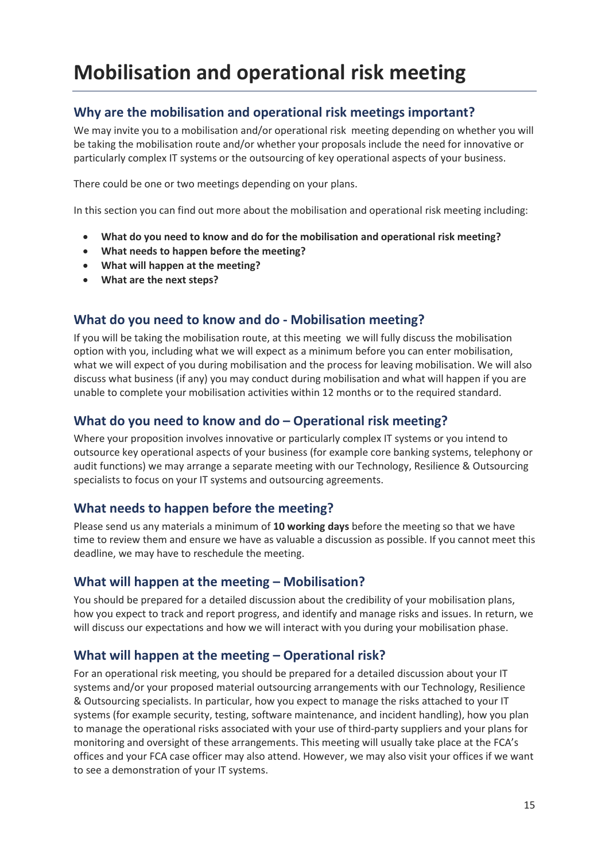# **Mobilisation and operational risk meeting**

# **Why are the mobilisation and operational risk meetings important?**

We may invite you to a mobilisation and/or operational risk meeting depending on whether you will be taking the mobilisation route and/or whether your proposals include the need for innovative or particularly complex IT systems or the outsourcing of key operational aspects of your business.

There could be one or two meetings depending on your plans.

In this section you can find out more about the mobilisation and operational risk meeting including:

- **What do you need to know and do for the mobilisation and operational risk meeting?**
- **What needs to happen before the meeting?**
- **What will happen at the meeting?**
- **What are the next steps?**

### **What do you need to know and do - Mobilisation meeting?**

If you will be taking the mobilisation route, at this meeting we will fully discuss the mobilisation option with you, including what we will expect as a minimum before you can enter mobilisation, what we will expect of you during mobilisation and the process for leaving mobilisation. We will also discuss what business (if any) you may conduct during mobilisation and what will happen if you are unable to complete your mobilisation activities within 12 months or to the required standard.

# **What do you need to know and do – Operational risk meeting?**

Where your proposition involves innovative or particularly complex IT systems or you intend to outsource key operational aspects of your business (for example core banking systems, telephony or audit functions) we may arrange a separate meeting with our Technology, Resilience & Outsourcing specialists to focus on your IT systems and outsourcing agreements.

# **What needs to happen before the meeting?**

Please send us any materials a minimum of **10 working days** before the meeting so that we have time to review them and ensure we have as valuable a discussion as possible. If you cannot meet this deadline, we may have to reschedule the meeting.

### **What will happen at the meeting – Mobilisation?**

You should be prepared for a detailed discussion about the credibility of your mobilisation plans, how you expect to track and report progress, and identify and manage risks and issues. In return, we will discuss our expectations and how we will interact with you during your mobilisation phase.

# **What will happen at the meeting – Operational risk?**

For an operational risk meeting, you should be prepared for a detailed discussion about your IT systems and/or your proposed material outsourcing arrangements with our Technology, Resilience & Outsourcing specialists. In particular, how you expect to manage the risks attached to your IT systems (for example security, testing, software maintenance, and incident handling), how you plan to manage the operational risks associated with your use of third-party suppliers and your plans for monitoring and oversight of these arrangements. This meeting will usually take place at the FCA's offices and your FCA case officer may also attend. However, we may also visit your offices if we want to see a demonstration of your IT systems.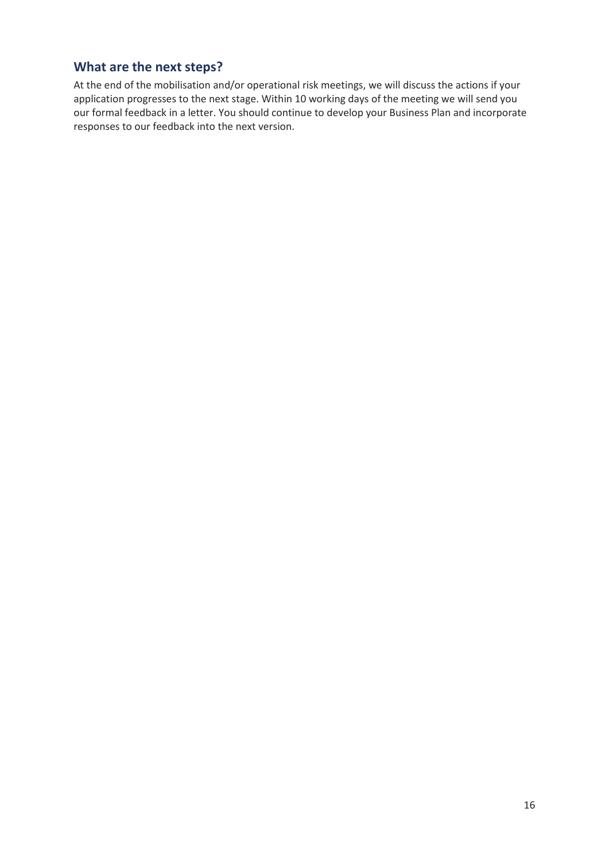# **What are the next steps?**

At the end of the mobilisation and/or operational risk meetings, we will discuss the actions if your application progresses to the next stage. Within 10 working days of the meeting we will send you our formal feedback in a letter. You should continue to develop your Business Plan and incorporate responses to our feedback into the next version.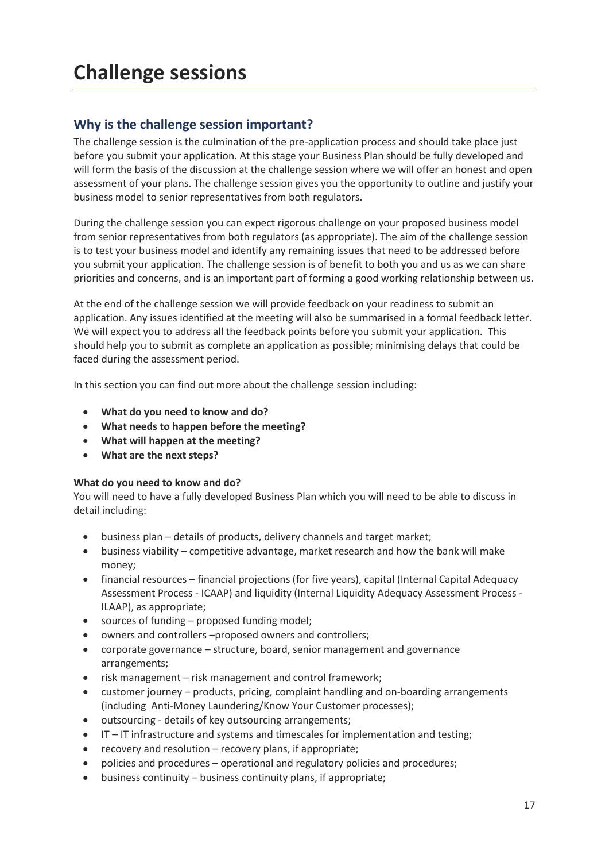# **Why is the challenge session important?**

The challenge session is the culmination of the pre-application process and should take place just before you submit your application. At this stage your Business Plan should be fully developed and will form the basis of the discussion at the challenge session where we will offer an honest and open assessment of your plans. The challenge session gives you the opportunity to outline and justify your business model to senior representatives from both regulators.

During the challenge session you can expect rigorous challenge on your proposed business model from senior representatives from both regulators (as appropriate). The aim of the challenge session is to test your business model and identify any remaining issues that need to be addressed before you submit your application. The challenge session is of benefit to both you and us as we can share priorities and concerns, and is an important part of forming a good working relationship between us.

At the end of the challenge session we will provide feedback on your readiness to submit an application. Any issues identified at the meeting will also be summarised in a formal feedback letter. We will expect you to address all the feedback points before you submit your application. This should help you to submit as complete an application as possible; minimising delays that could be faced during the assessment period.

In this section you can find out more about the challenge session including:

- **What do you need to know and do?**
- **What needs to happen before the meeting?**
- **What will happen at the meeting?**
- **What are the next steps?**

#### **What do you need to know and do?**

You will need to have a fully developed Business Plan which you will need to be able to discuss in detail including:

- business plan details of products, delivery channels and target market;
- business viability competitive advantage, market research and how the bank will make money;
- financial resources financial projections (for five years), capital (Internal Capital Adequacy Assessment Process - ICAAP) and liquidity (Internal Liquidity Adequacy Assessment Process - ILAAP), as appropriate;
- sources of funding proposed funding model;
- owners and controllers –proposed owners and controllers;
- corporate governance structure, board, senior management and governance arrangements;
- risk management risk management and control framework;
- customer journey products, pricing, complaint handling and on-boarding arrangements (including Anti-Money Laundering/Know Your Customer processes);
- outsourcing details of key outsourcing arrangements;
- IT IT infrastructure and systems and timescales for implementation and testing;
- recovery and resolution recovery plans, if appropriate;
- policies and procedures operational and regulatory policies and procedures;
- business continuity business continuity plans, if appropriate;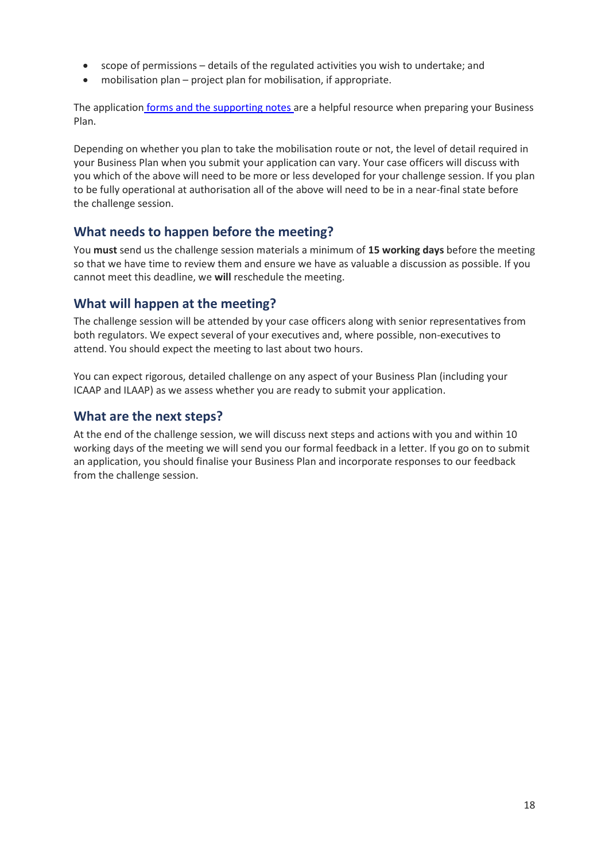- scope of permissions details of the regulated activities you wish to undertake; and
- mobilisation plan project plan for mobilisation, if appropriate.

The application [forms and the supporting notes a](http://www.bankofengland.co.uk/pra/Pages/authorisations/newfirm/default.aspx#forms)re a helpful resource when preparing your Business Plan.

Depending on whether you plan to take the mobilisation route or not, the level of detail required in your Business Plan when you submit your application can vary. Your case officers will discuss with you which of the above will need to be more or less developed for your challenge session. If you plan to be fully operational at authorisation all of the above will need to be in a near-final state before the challenge session.

# **What needs to happen before the meeting?**

You **must** send us the challenge session materials a minimum of **15 working days** before the meeting so that we have time to review them and ensure we have as valuable a discussion as possible. If you cannot meet this deadline, we **will** reschedule the meeting.

# **What will happen at the meeting?**

The challenge session will be attended by your case officers along with senior representatives from both regulators. We expect several of your executives and, where possible, non-executives to attend. You should expect the meeting to last about two hours.

You can expect rigorous, detailed challenge on any aspect of your Business Plan (including your ICAAP and ILAAP) as we assess whether you are ready to submit your application.

# **What are the next steps?**

At the end of the challenge session, we will discuss next steps and actions with you and within 10 working days of the meeting we will send you our formal feedback in a letter. If you go on to submit an application, you should finalise your Business Plan and incorporate responses to our feedback from the challenge session.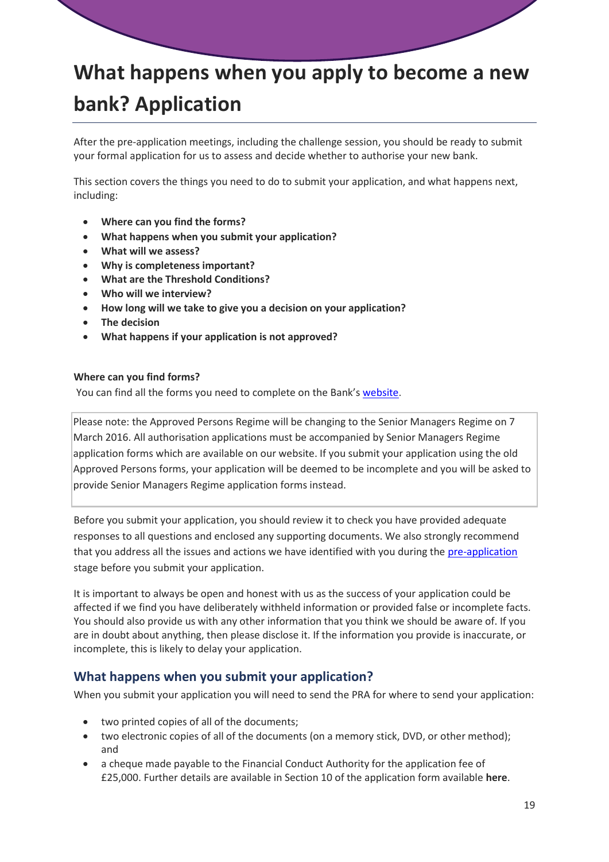# **What happens when you apply to become a new bank? Application**

After the pre-application meetings, including the challenge session, you should be ready to submit your formal application for us to assess and decide whether to authorise your new bank.

This section covers the things you need to do to submit your application, and what happens next, including:

- **Where can you find the forms?**
- **What happens when you submit your application?**
- **What will we assess?**
- **Why is completeness important?**
- **What are the Threshold Conditions?**
- **Who will we interview?**
- **How long will we take to give you a decision on your application?**
- **The decision**
- **What happens if your application is not approved?**

#### **Where can you find forms?**

You can find all the forms you need to complete on the Bank's [website.](http://www.bankofengland.co.uk/pra/Pages/authorisations/newfirm/default.aspx)

Please note: the Approved Persons Regime will be changing to the Senior Managers Regime on 7 March 2016. All authorisation applications must be accompanied by Senior Managers Regime application forms which are available on our website. If you submit your application using the old Approved Persons forms, your application will be deemed to be incomplete and you will be asked to provide Senior Managers Regime application forms instead.

Before you submit your application, you should review it to check you have provided adequate responses to all questions and enclosed any supporting documents. We also strongly recommend that you address all the issues and actions we have identified with you during the pre-application stage before you submit your application.

It is important to always be open and honest with us as the success of your application could be affected if we find you have deliberately withheld information or provided false or incomplete facts. You should also provide us with any other information that you think we should be aware of. If you are in doubt about anything, then please disclose it. If the information you provide is inaccurate, or incomplete, this is likely to delay your application.

### **What happens when you submit your application?**

When you submit your application you will need to send the PRA for where to send your application:

- two printed copies of all of the documents;
- two electronic copies of all of the documents (on a memory stick, DVD, or other method); and
- a cheque made payable to the Financial Conduct Authority for the application fee of £25,000. Further details are available in Section 10 of the application form available **[here](http://boe-cms-authoring/pra/Pages/authorisations/newfirm/default.aspx)**.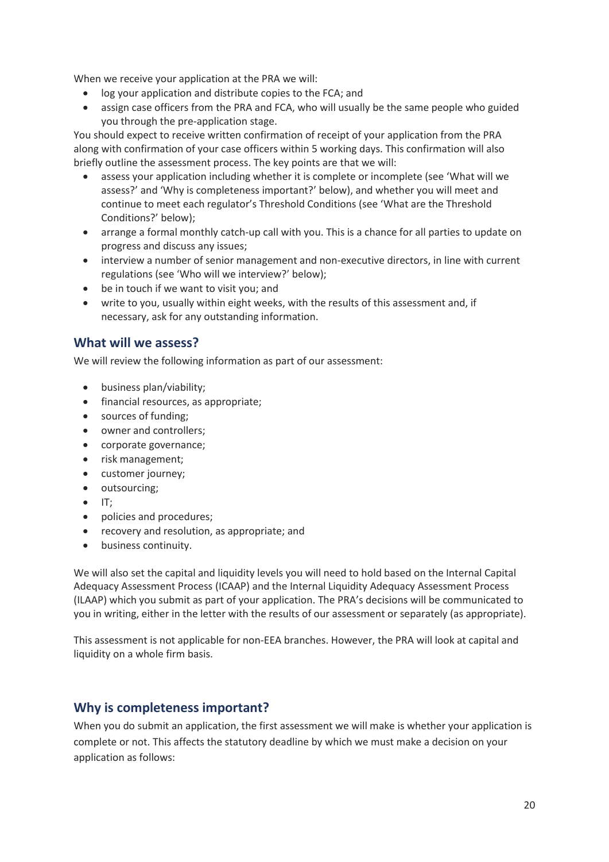When we receive your application at the PRA we will:

- log your application and distribute copies to the FCA; and
- assign case officers from the PRA and FCA, who will usually be the same people who guided you through the pre-application stage.

You should expect to receive written confirmation of receipt of your application from the PRA along with confirmation of your case officers within 5 working days. This confirmation will also briefly outline the assessment process. The key points are that we will:

- assess your application including whether it is complete or incomplete (see 'What will we assess?' and 'Why is completeness important?' below), and whether you will meet and continue to meet each regulator's Threshold Conditions (see 'What are the Threshold Conditions?' below);
- arrange a formal monthly catch-up call with you. This is a chance for all parties to update on progress and discuss any issues;
- interview a number of senior management and non-executive directors, in line with current regulations (see 'Who will we interview?' below);
- be in touch if we want to visit you; and
- write to you, usually within eight weeks, with the results of this assessment and, if necessary, ask for any outstanding information.

### **What will we assess?**

We will review the following information as part of our assessment:

- business plan/viability;
- financial resources, as appropriate:
- sources of funding;
- owner and controllers;
- corporate governance;
- risk management;
- customer journey;
- outsourcing;
- $\bullet$  IT:
- policies and procedures;
- recovery and resolution, as appropriate; and
- business continuity.

We will also set the capital and liquidity levels you will need to hold based on the Internal Capital Adequacy Assessment Process (ICAAP) and the Internal Liquidity Adequacy Assessment Process (ILAAP) which you submit as part of your application. The PRA's decisions will be communicated to you in writing, either in the letter with the results of our assessment or separately (as appropriate).

This assessment is not applicable for non-EEA branches. However, the PRA will look at capital and liquidity on a whole firm basis.

# **Why is completeness important?**

When you do submit an application, the first assessment we will make is whether your application is complete or not. This affects the statutory deadline by which we must make a decision on your application as follows: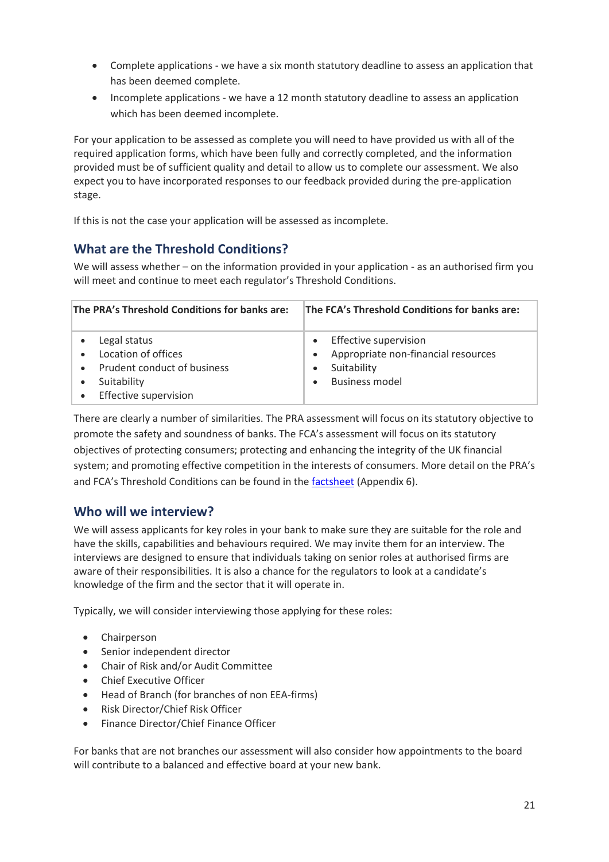- Complete applications we have a six month statutory deadline to assess an application that has been deemed complete.
- Incomplete applications we have a 12 month statutory deadline to assess an application which has been deemed incomplete.

For your application to be assessed as complete you will need to have provided us with all of the required application forms, which have been fully and correctly completed, and the information provided must be of sufficient quality and detail to allow us to complete our assessment. We also expect you to have incorporated responses to our feedback provided during the pre-application stage.

If this is not the case your application will be assessed as incomplete.

# **What are the Threshold Conditions?**

We will assess whether – on the information provided in your application - as an authorised firm you will meet and continue to meet each regulator's Threshold Conditions.

| The PRA's Threshold Conditions for banks are:                                                              | The FCA's Threshold Conditions for banks are:                                                 |
|------------------------------------------------------------------------------------------------------------|-----------------------------------------------------------------------------------------------|
| Legal status<br>Location of offices<br>Prudent conduct of business<br>Suitability<br>Effective supervision | Effective supervision<br>Appropriate non-financial resources<br>Suitability<br>Business model |

There are clearly a number of similarities. The PRA assessment will focus on its statutory objective to promote the safety and soundness of banks. The FCA's assessment will focus on its statutory objectives of protecting consumers; protecting and enhancing the integrity of the UK financial system; and promoting effective competition in the interests of consumers. More detail on the PRA's and FCA's Threshold Conditions can be found in th[e factsheet](http://www.bankofengland.co.uk/pra/Documents/authorisations/newfirmauths/thresholdconditionsfactsheet.pdf) (Appendix 6).

# **Who will we interview?**

We will assess applicants for key roles in your bank to make sure they are suitable for the role and have the skills, capabilities and behaviours required. We may invite them for an interview. The interviews are designed to ensure that individuals taking on senior roles at authorised firms are aware of their responsibilities. It is also a chance for the regulators to look at a candidate's knowledge of the firm and the sector that it will operate in.

Typically, we will consider interviewing those applying for these roles:

- Chairperson
- Senior independent director
- Chair of Risk and/or Audit Committee
- Chief Executive Officer
- Head of Branch (for branches of non EEA-firms)
- Risk Director/Chief Risk Officer
- Finance Director/Chief Finance Officer

For banks that are not branches our assessment will also consider how appointments to the board will contribute to a balanced and effective board at your new bank.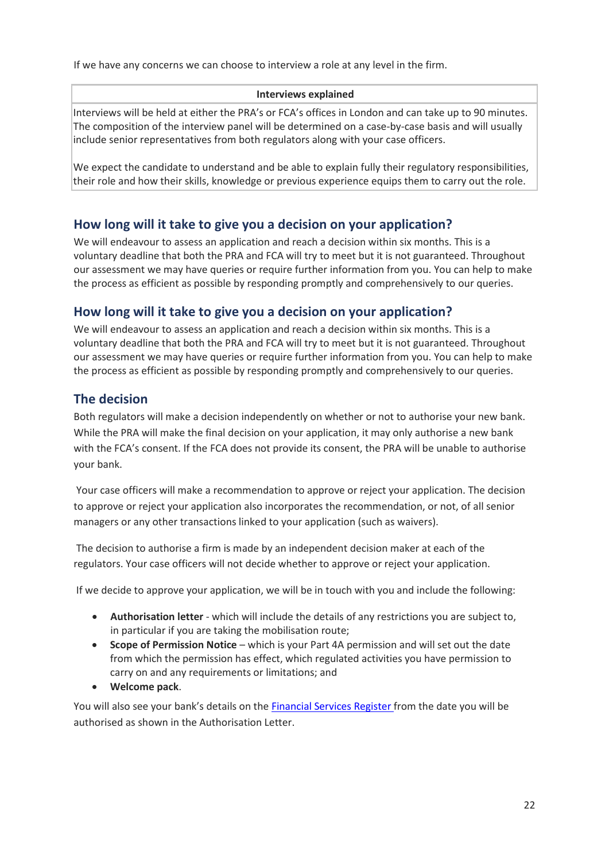If we have any concerns we can choose to interview a role at any level in the firm.

#### **Interviews explained**

Interviews will be held at either the PRA's or FCA's offices in London and can take up to 90 minutes. The composition of the interview panel will be determined on a case-by-case basis and will usually include senior representatives from both regulators along with your case officers.

We expect the candidate to understand and be able to explain fully their regulatory responsibilities, their role and how their skills, knowledge or previous experience equips them to carry out the role.

# **How long will it take to give you a decision on your application?**

We will endeavour to assess an application and reach a decision within six months. This is a voluntary deadline that both the PRA and FCA will try to meet but it is not guaranteed. Throughout our assessment we may have queries or require further information from you. You can help to make the process as efficient as possible by responding promptly and comprehensively to our queries.

# **How long will it take to give you a decision on your application?**

We will endeavour to assess an application and reach a decision within six months. This is a voluntary deadline that both the PRA and FCA will try to meet but it is not guaranteed. Throughout our assessment we may have queries or require further information from you. You can help to make the process as efficient as possible by responding promptly and comprehensively to our queries.

# **The decision**

Both regulators will make a decision independently on whether or not to authorise your new bank. While the PRA will make the final decision on your application, it may only authorise a new bank with the FCA's consent. If the FCA does not provide its consent, the PRA will be unable to authorise your bank.

 Your case officers will make a recommendation to approve or reject your application. The decision to approve or reject your application also incorporates the recommendation, or not, of all senior managers or any other transactions linked to your application (such as waivers).

 The decision to authorise a firm is made by an independent decision maker at each of the regulators. Your case officers will not decide whether to approve or reject your application.

If we decide to approve your application, we will be in touch with you and include the following:

- **Authorisation letter**  which will include the details of any restrictions you are subject to, in particular if you are taking the mobilisation route;
- **Scope of Permission Notice**  which is your Part 4A permission and will set out the date from which the permission has effect, which regulated activities you have permission to carry on and any requirements or limitations; and
- **Welcome pack**.

You will also see your bank's details on the [Financial Services Register f](https://register.fca.org.uk/)rom the date you will be authorised as shown in the Authorisation Letter.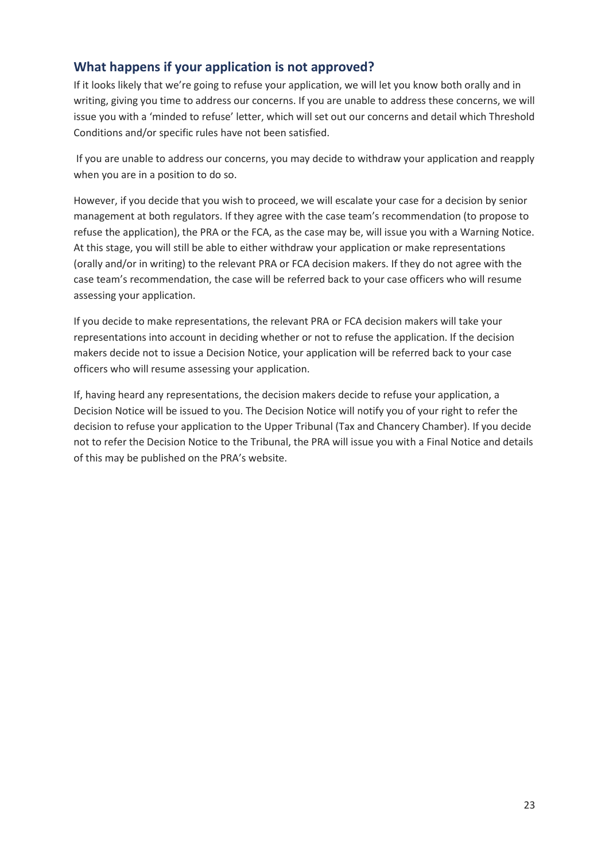# **What happens if your application is not approved?**

If it looks likely that we're going to refuse your application, we will let you know both orally and in writing, giving you time to address our concerns. If you are unable to address these concerns, we will issue you with a 'minded to refuse' letter, which will set out our concerns and detail which Threshold Conditions and/or specific rules have not been satisfied.

 If you are unable to address our concerns, you may decide to withdraw your application and reapply when you are in a position to do so.

However, if you decide that you wish to proceed, we will escalate your case for a decision by senior management at both regulators. If they agree with the case team's recommendation (to propose to refuse the application), the PRA or the FCA, as the case may be, will issue you with a Warning Notice. At this stage, you will still be able to either withdraw your application or make representations (orally and/or in writing) to the relevant PRA or FCA decision makers. If they do not agree with the case team's recommendation, the case will be referred back to your case officers who will resume assessing your application.

If you decide to make representations, the relevant PRA or FCA decision makers will take your representations into account in deciding whether or not to refuse the application. If the decision makers decide not to issue a Decision Notice, your application will be referred back to your case officers who will resume assessing your application.

If, having heard any representations, the decision makers decide to refuse your application, a Decision Notice will be issued to you. The Decision Notice will notify you of your right to refer the decision to refuse your application to the Upper Tribunal (Tax and Chancery Chamber). If you decide not to refer the Decision Notice to the Tribunal, the PRA will issue you with a Final Notice and details of this may be published on the PRA's website.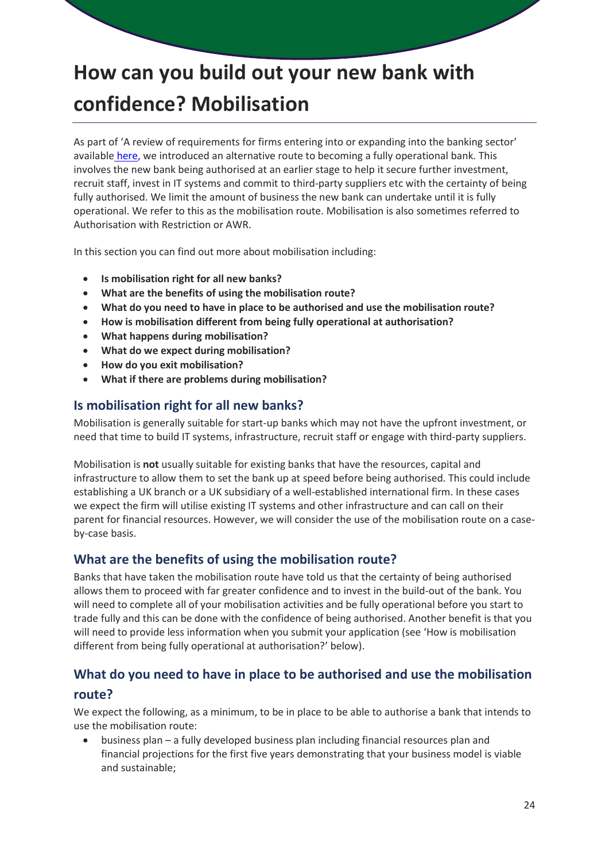# **How can you build out your new bank with confidence? Mobilisation**

As part of 'A review of requirements for firms entering into or expanding into the banking sector' available [here,](http://www.bankofengland.co.uk/pra/Pages/publications/reports/2014/reviewrequirements.aspx) we introduced an alternative route to becoming a fully operational bank. This involves the new bank being authorised at an earlier stage to help it secure further investment, recruit staff, invest in IT systems and commit to third-party suppliers etc with the certainty of being fully authorised. We limit the amount of business the new bank can undertake until it is fully operational. We refer to this as the mobilisation route. Mobilisation is also sometimes referred to Authorisation with Restriction or AWR.

In this section you can find out more about mobilisation including:

- **Is mobilisation right for all new banks?**
- **What are the benefits of using the mobilisation route?**
- **What do you need to have in place to be authorised and use the mobilisation route?**
- **How is mobilisation different from being fully operational at authorisation?**
- **What happens during mobilisation?**
- **What do we expect during mobilisation?**
- **How do you exit mobilisation?**
- **What if there are problems during mobilisation?**

### **Is mobilisation right for all new banks?**

Mobilisation is generally suitable for start-up banks which may not have the upfront investment, or need that time to build IT systems, infrastructure, recruit staff or engage with third-party suppliers.

Mobilisation is **not** usually suitable for existing banks that have the resources, capital and infrastructure to allow them to set the bank up at speed before being authorised. This could include establishing a UK branch or a UK subsidiary of a well-established international firm. In these cases we expect the firm will utilise existing IT systems and other infrastructure and can call on their parent for financial resources. However, we will consider the use of the mobilisation route on a caseby-case basis.

# **What are the benefits of using the mobilisation route?**

Banks that have taken the mobilisation route have told us that the certainty of being authorised allows them to proceed with far greater confidence and to invest in the build-out of the bank. You will need to complete all of your mobilisation activities and be fully operational before you start to trade fully and this can be done with the confidence of being authorised. Another benefit is that you will need to provide less information when you submit your application (see 'How is mobilisation different from being fully operational at authorisation?' below).

# **What do you need to have in place to be authorised and use the mobilisation**

#### **route?**

We expect the following, as a minimum, to be in place to be able to authorise a bank that intends to use the mobilisation route:

 business plan – a fully developed business plan including financial resources plan and financial projections for the first five years demonstrating that your business model is viable and sustainable;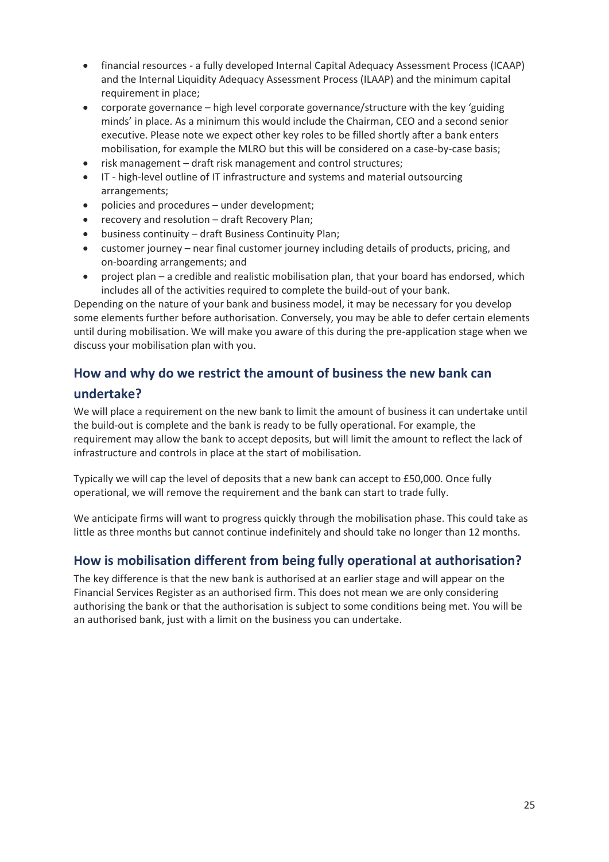- financial resources a fully developed Internal Capital Adequacy Assessment Process (ICAAP) and the Internal Liquidity Adequacy Assessment Process (ILAAP) and the minimum capital requirement in place;
- corporate governance high level corporate governance/structure with the key 'guiding minds' in place. As a minimum this would include the Chairman, CEO and a second senior executive. Please note we expect other key roles to be filled shortly after a bank enters mobilisation, for example the MLRO but this will be considered on a case-by-case basis;
- risk management draft risk management and control structures;
- IT high-level outline of IT infrastructure and systems and material outsourcing arrangements;
- policies and procedures under development;
- recovery and resolution draft Recovery Plan;
- business continuity draft Business Continuity Plan;
- customer journey near final customer journey including details of products, pricing, and on-boarding arrangements; and
- project plan a credible and realistic mobilisation plan, that your board has endorsed, which includes all of the activities required to complete the build-out of your bank.

Depending on the nature of your bank and business model, it may be necessary for you develop some elements further before authorisation. Conversely, you may be able to defer certain elements until during mobilisation. We will make you aware of this during the pre-application stage when we discuss your mobilisation plan with you.

# **How and why do we restrict the amount of business the new bank can**

# **undertake?**

We will place a requirement on the new bank to limit the amount of business it can undertake until the build-out is complete and the bank is ready to be fully operational. For example, the requirement may allow the bank to accept deposits, but will limit the amount to reflect the lack of infrastructure and controls in place at the start of mobilisation.

Typically we will cap the level of deposits that a new bank can accept to £50,000. Once fully operational, we will remove the requirement and the bank can start to trade fully.

We anticipate firms will want to progress quickly through the mobilisation phase. This could take as little as three months but cannot continue indefinitely and should take no longer than 12 months.

# **How is mobilisation different from being fully operational at authorisation?**

The key difference is that the new bank is authorised at an earlier stage and will appear on the Financial Services Register as an authorised firm. This does not mean we are only considering authorising the bank or that the authorisation is subject to some conditions being met. You will be an authorised bank, just with a limit on the business you can undertake.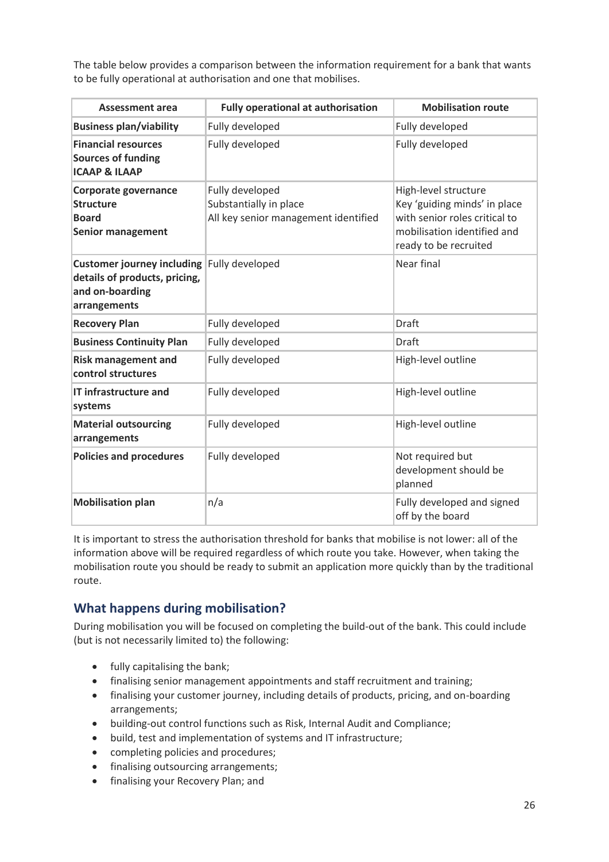The table below provides a comparison between the information requirement for a bank that wants to be fully operational at authorisation and one that mobilises.

| <b>Assessment area</b>                                                                                         | <b>Fully operational at authorisation</b>                                         | <b>Mobilisation route</b>                                                                                                                     |
|----------------------------------------------------------------------------------------------------------------|-----------------------------------------------------------------------------------|-----------------------------------------------------------------------------------------------------------------------------------------------|
| <b>Business plan/viability</b>                                                                                 | Fully developed                                                                   | Fully developed                                                                                                                               |
| <b>Financial resources</b><br><b>Sources of funding</b><br><b>ICAAP &amp; ILAAP</b>                            | Fully developed                                                                   | Fully developed                                                                                                                               |
| Corporate governance<br><b>Structure</b><br><b>Board</b><br><b>Senior management</b>                           | Fully developed<br>Substantially in place<br>All key senior management identified | High-level structure<br>Key 'guiding minds' in place<br>with senior roles critical to<br>mobilisation identified and<br>ready to be recruited |
| Customer journey including Fully developed<br>details of products, pricing,<br>and on-boarding<br>arrangements |                                                                                   | Near final                                                                                                                                    |
| <b>Recovery Plan</b>                                                                                           | Fully developed                                                                   | <b>Draft</b>                                                                                                                                  |
| <b>Business Continuity Plan</b>                                                                                | Fully developed                                                                   | <b>Draft</b>                                                                                                                                  |
| <b>Risk management and</b><br>control structures                                                               | Fully developed                                                                   | High-level outline                                                                                                                            |
| <b>IT infrastructure and</b><br>systems                                                                        | Fully developed                                                                   | High-level outline                                                                                                                            |
| <b>Material outsourcing</b><br>arrangements                                                                    | Fully developed                                                                   | High-level outline                                                                                                                            |
| <b>Policies and procedures</b>                                                                                 | Fully developed                                                                   | Not required but<br>development should be<br>planned                                                                                          |
| <b>Mobilisation plan</b>                                                                                       | n/a                                                                               | Fully developed and signed<br>off by the board                                                                                                |

It is important to stress the authorisation threshold for banks that mobilise is not lower: all of the information above will be required regardless of which route you take. However, when taking the mobilisation route you should be ready to submit an application more quickly than by the traditional route.

# **What happens during mobilisation?**

During mobilisation you will be focused on completing the build-out of the bank. This could include (but is not necessarily limited to) the following:

- fully capitalising the bank;
- finalising senior management appointments and staff recruitment and training;
- finalising your customer journey, including details of products, pricing, and on-boarding arrangements;
- building-out control functions such as Risk, Internal Audit and Compliance;
- build, test and implementation of systems and IT infrastructure;
- completing policies and procedures;
- finalising outsourcing arrangements;
- finalising your Recovery Plan; and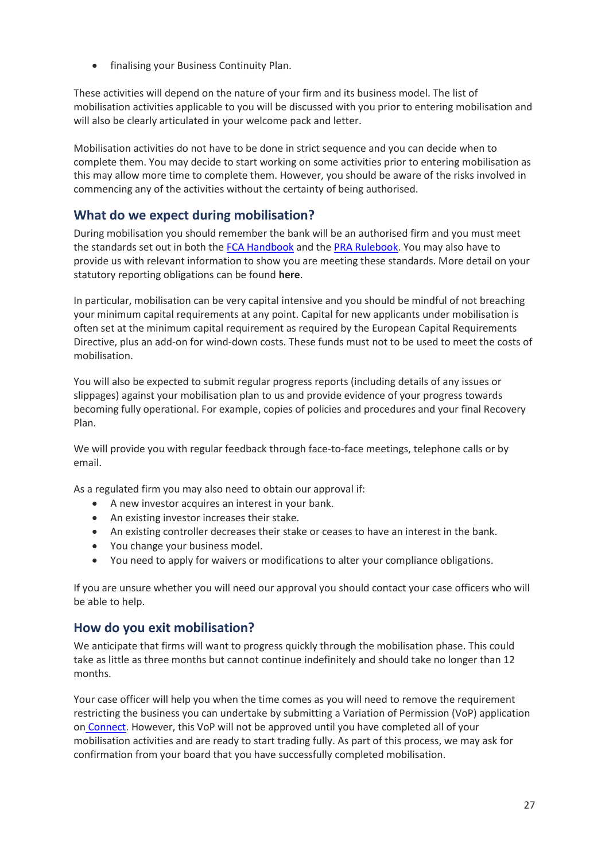finalising your Business Continuity Plan.

These activities will depend on the nature of your firm and its business model. The list of mobilisation activities applicable to you will be discussed with you prior to entering mobilisation and will also be clearly articulated in your welcome pack and letter.

Mobilisation activities do not have to be done in strict sequence and you can decide when to complete them. You may decide to start working on some activities prior to entering mobilisation as this may allow more time to complete them. However, you should be aware of the risks involved in commencing any of the activities without the certainty of being authorised.

# **What do we expect during mobilisation?**

During mobilisation you should remember the bank will be an authorised firm and you must meet the standards set out in both the [FCA Handbook](https://www.handbook.fca.org.uk/) and th[e PRA Rulebook.](http://www.prarulebook.co.uk/) You may also have to provide us with relevant information to show you are meeting these standards. More detail on your statutory reporting obligations can be found **[here](http://www.bankofengland.co.uk/pra/Pages/regulatorydata/default.aspx)**.

In particular, mobilisation can be very capital intensive and you should be mindful of not breaching your minimum capital requirements at any point. Capital for new applicants under mobilisation is often set at the minimum capital requirement as required by the European Capital Requirements Directive, plus an add-on for wind-down costs. These funds must not to be used to meet the costs of mobilisation.

You will also be expected to submit regular progress reports (including details of any issues or slippages) against your mobilisation plan to us and provide evidence of your progress towards becoming fully operational. For example, copies of policies and procedures and your final Recovery Plan.

We will provide you with regular feedback through face-to-face meetings, telephone calls or by email.

As a regulated firm you may also need to obtain our approval if:

- A new investor acquires an interest in your bank.
- An existing investor increases their stake.
- An existing controller decreases their stake or ceases to have an interest in the bank.
- You change your business model.
- You need to apply for waivers or modifications to alter your compliance obligations.

If you are unsure whether you will need our approval you should contact your case officers who will be able to help.

# **How do you exit mobilisation?**

We anticipate that firms will want to progress quickly through the mobilisation phase. This could take as little as three months but cannot continue indefinitely and should take no longer than 12 months.

Your case officer will help you when the time comes as you will need to remove the requirement restricting the business you can undertake by submitting a Variation of Permission (VoP) application on [Connect.](https://connect.fca.org.uk/firms/aupo_sitelogin) However, this VoP will not be approved until you have completed all of your mobilisation activities and are ready to start trading fully. As part of this process, we may ask for confirmation from your board that you have successfully completed mobilisation.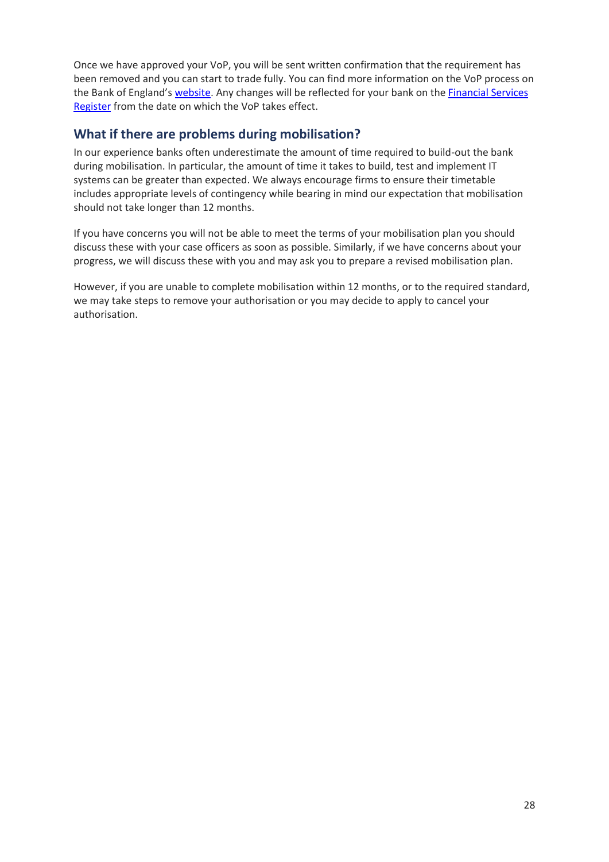Once we have approved your VoP, you will be sent written confirmation that the requirement has been removed and you can start to trade fully. You can find more information on the VoP process on the Bank of England's [website.](http://www.bankofengland.co.uk/pra/Pages/authorisations/variationpermission/default.aspx) Any changes will be reflected for your bank on the [Financial Services](https://register.fca.org.uk/)  [Register](https://register.fca.org.uk/) from the date on which the VoP takes effect.

# **What if there are problems during mobilisation?**

In our experience banks often underestimate the amount of time required to build-out the bank during mobilisation. In particular, the amount of time it takes to build, test and implement IT systems can be greater than expected. We always encourage firms to ensure their timetable includes appropriate levels of contingency while bearing in mind our expectation that mobilisation should not take longer than 12 months.

If you have concerns you will not be able to meet the terms of your mobilisation plan you should discuss these with your case officers as soon as possible. Similarly, if we have concerns about your progress, we will discuss these with you and may ask you to prepare a revised mobilisation plan.

However, if you are unable to complete mobilisation within 12 months, or to the required standard, we may take steps to remove your authorisation or you may decide to apply to cancel your authorisation.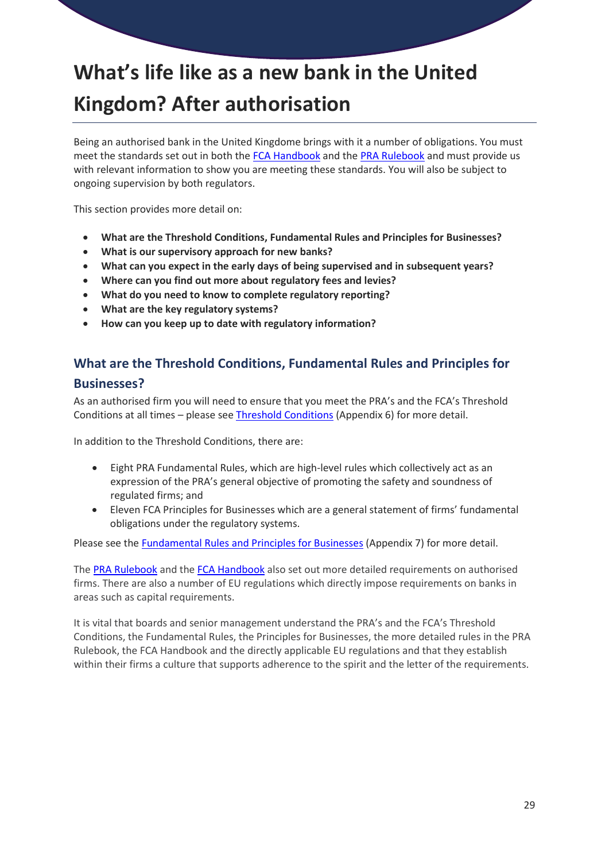# **What's life like as a new bank in the United Kingdom? After authorisation**

Being an authorised bank in the United Kingdome brings with it a number of obligations. You must meet the standards set out in both the [FCA Handbook](https://www.handbook.fca.org.uk/) and the [PRA Rulebook](http://www.prarulebook.co.uk/) and must provide us with relevant information to show you are meeting these standards. You will also be subject to ongoing supervision by both regulators.

This section provides more detail on:

- **What are the Threshold Conditions, Fundamental Rules and Principles for Businesses?**
- **What is our supervisory approach for new banks?**
- **What can you expect in the early days of being supervised and in subsequent years?**
- **Where can you find out more about regulatory fees and levies?**
- **What do you need to know to complete regulatory reporting?**
- **What are the key regulatory systems?**
- **How can you keep up to date with regulatory information?**

# **What are the Threshold Conditions, Fundamental Rules and Principles for**

### **Businesses?**

As an authorised firm you will need to ensure that you meet the PRA's and the FCA's Threshold Conditions at all times – please see [Threshold Conditions](http://www.bankofengland.co.uk/pra/Documents/authorisations/newfirmauths/thresholdconditionsfactsheet.pdf) (Appendix 6) for more detail.

In addition to the Threshold Conditions, there are:

- Eight PRA Fundamental Rules, which are high-level rules which collectively act as an expression of the PRA's general objective of promoting the safety and soundness of regulated firms; and
- Eleven FCA Principles for Businesses which are a general statement of firms' fundamental obligations under the regulatory systems.

Please see the [Fundamental Rules and Principles for Businesses](http://www.bankofengland.co.uk/pra/Documents/authorisations/newfirmauths/fundamentalrulesprinciples.pdf) (Appendix 7) for more detail.

The [PRA Rulebook](http://www.prarulebook.co.uk/) and the [FCA Handbook](https://www.handbook.fca.org.uk/) also set out more detailed requirements on authorised firms. There are also a number of EU regulations which directly impose requirements on banks in areas such as capital requirements.

It is vital that boards and senior management understand the PRA's and the FCA's Threshold Conditions, the Fundamental Rules, the Principles for Businesses, the more detailed rules in the PRA Rulebook, the FCA Handbook and the directly applicable EU regulations and that they establish within their firms a culture that supports adherence to the spirit and the letter of the requirements.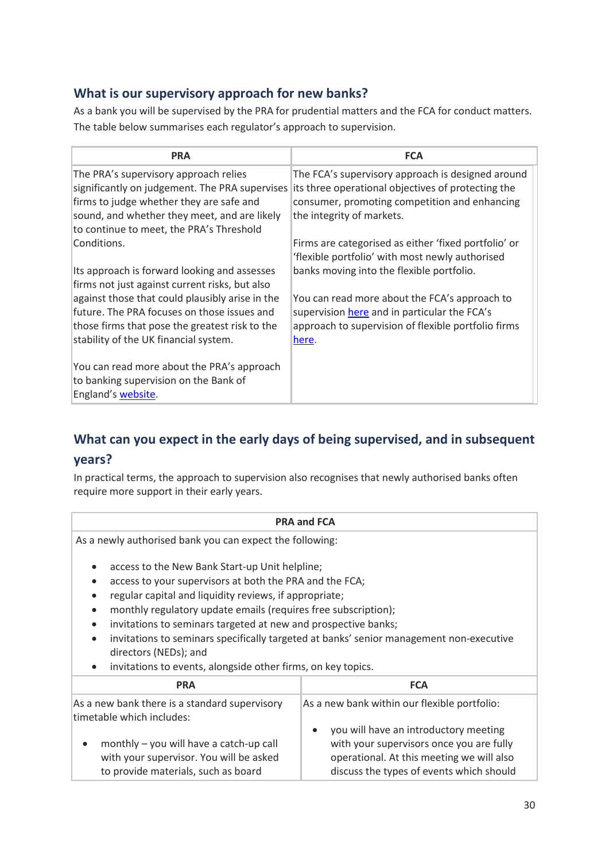# **What is our supervisory approach for new banks?**

As a bank you will be supervised by the PRA for prudential matters and the FCA for conduct matters. The table below summarises each regulator's approach to supervision.

| <b>PRA</b>                                                                                                                                                                                                                                  | <b>FCA</b>                                                                                                                                                                            |
|---------------------------------------------------------------------------------------------------------------------------------------------------------------------------------------------------------------------------------------------|---------------------------------------------------------------------------------------------------------------------------------------------------------------------------------------|
| The PRA's supervisory approach relies<br>significantly on judgement. The PRA supervises<br>firms to judge whether they are safe and<br>sound, and whether they meet, and are likely<br>to continue to meet, the PRA's Threshold             | The FCA's supervisory approach is designed around<br>its three operational objectives of protecting the<br>consumer, promoting competition and enhancing<br>the integrity of markets. |
| Conditions.<br>Its approach is forward looking and assesses                                                                                                                                                                                 | Firms are categorised as either 'fixed portfolio' or<br>'flexible portfolio' with most newly authorised<br>banks moving into the flexible portfolio.                                  |
| firms not just against current risks, but also<br>against those that could plausibly arise in the<br>future. The PRA focuses on those issues and<br>those firms that pose the greatest risk to the<br>stability of the UK financial system. | You can read more about the FCA's approach to<br>supervision here and in particular the FCA's<br>approach to supervision of flexible portfolio firms<br><u>here</u> .                 |
| You can read more about the PRA's approach<br>to banking supervision on the Bank of<br>England's website.                                                                                                                                   |                                                                                                                                                                                       |

# **What can you expect in the early days of being supervised, and in subsequent years?**

In practical terms, the approach to supervision also recognises that newly authorised banks often require more support in their early years.

#### **PRA and FCA**

As a newly authorised bank you can expect the following:

- access to the New Bank Start-up Unit helpline;
- access to your supervisors at both the PRA and the FCA;
- regular capital and liquidity reviews, if appropriate;
- monthly regulatory update emails (requires free subscription);
- invitations to seminars targeted at new and prospective banks;
- invitations to seminars specifically targeted at banks' senior management non-executive directors (NEDs); and
- invitations to events, alongside other firms, on key topics.

| <b>PRA</b>                                                                                                                             | <b>FCA</b>                                                                                                                                                                              |
|----------------------------------------------------------------------------------------------------------------------------------------|-----------------------------------------------------------------------------------------------------------------------------------------------------------------------------------------|
| As a new bank there is a standard supervisory<br>timetable which includes:                                                             | As a new bank within our flexible portfolio:                                                                                                                                            |
| monthly - you will have a catch-up call<br>$\bullet$<br>with your supervisor. You will be asked<br>to provide materials, such as board | you will have an introductory meeting<br>$\bullet$<br>with your supervisors once you are fully<br>operational. At this meeting we will also<br>discuss the types of events which should |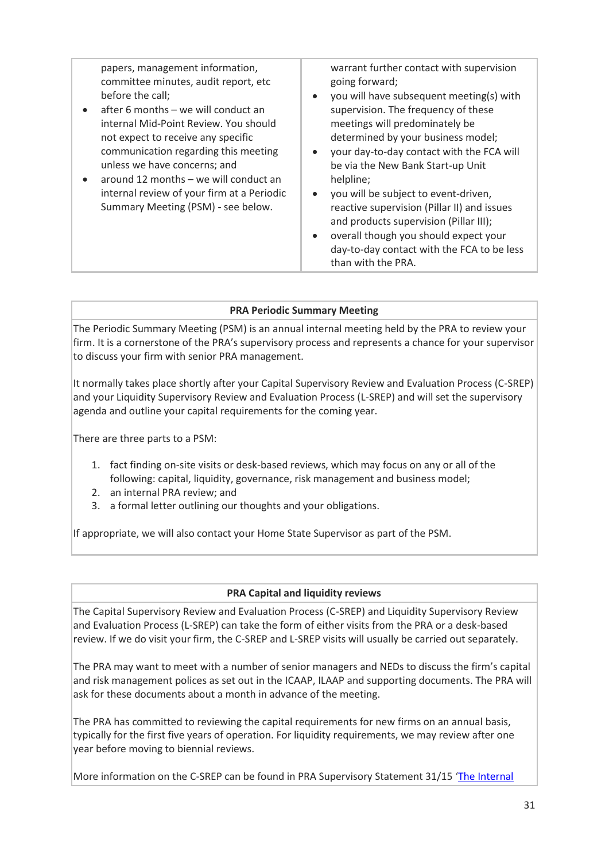| papers, management information,<br>warrant further contact with supervision<br>committee minutes, audit report, etc<br>going forward;<br>before the call;<br>you will have subsequent meeting(s) with<br>$\bullet$<br>after 6 months - we will conduct an<br>supervision. The frequency of these<br>meetings will predominately be<br>internal Mid-Point Review. You should<br>determined by your business model;<br>not expect to receive any specific<br>communication regarding this meeting<br>your day-to-day contact with the FCA will<br>unless we have concerns; and<br>be via the New Bank Start-up Unit<br>around 12 months – we will conduct an<br>helpline;<br>internal review of your firm at a Periodic<br>you will be subject to event-driven,<br>$\bullet$<br>Summary Meeting (PSM) - see below.<br>reactive supervision (Pillar II) and issues<br>and products supervision (Pillar III);<br>overall though you should expect your<br>$\bullet$<br>day-to-day contact with the FCA to be less<br>than with the PRA. |  |
|-------------------------------------------------------------------------------------------------------------------------------------------------------------------------------------------------------------------------------------------------------------------------------------------------------------------------------------------------------------------------------------------------------------------------------------------------------------------------------------------------------------------------------------------------------------------------------------------------------------------------------------------------------------------------------------------------------------------------------------------------------------------------------------------------------------------------------------------------------------------------------------------------------------------------------------------------------------------------------------------------------------------------------------|--|
|                                                                                                                                                                                                                                                                                                                                                                                                                                                                                                                                                                                                                                                                                                                                                                                                                                                                                                                                                                                                                                     |  |

#### **PRA Periodic Summary Meeting**

The Periodic Summary Meeting (PSM) is an annual internal meeting held by the PRA to review your firm. It is a cornerstone of the PRA's supervisory process and represents a chance for your supervisor to discuss your firm with senior PRA management.

It normally takes place shortly after your Capital Supervisory Review and Evaluation Process (C-SREP) and your Liquidity Supervisory Review and Evaluation Process (L-SREP) and will set the supervisory agenda and outline your capital requirements for the coming year.

There are three parts to a PSM:

- 1. fact finding on-site visits or desk-based reviews, which may focus on any or all of the following: capital, liquidity, governance, risk management and business model;
- 2. an internal PRA review; and
- 3. a formal letter outlining our thoughts and your obligations.

If appropriate, we will also contact your Home State Supervisor as part of the PSM.

#### **PRA Capital and liquidity reviews**

The Capital Supervisory Review and Evaluation Process (C-SREP) and Liquidity Supervisory Review and Evaluation Process (L-SREP) can take the form of either visits from the PRA or a desk-based review. If we do visit your firm, the C-SREP and L-SREP visits will usually be carried out separately.

The PRA may want to meet with a number of senior managers and NEDs to discuss the firm's capital and risk management polices as set out in the ICAAP, ILAAP and supporting documents. The PRA will ask for these documents about a month in advance of the meeting.

The PRA has committed to reviewing the capital requirements for new firms on an annual basis, typically for the first five years of operation. For liquidity requirements, we may review after one year before moving to biennial reviews.

More information on the C-SREP can be found in PRA Supervisory Statement 31/15 '[The Internal](http://www.bankofengland.co.uk/pra/Pages/publications/ss/2015/ss3115update.aspx)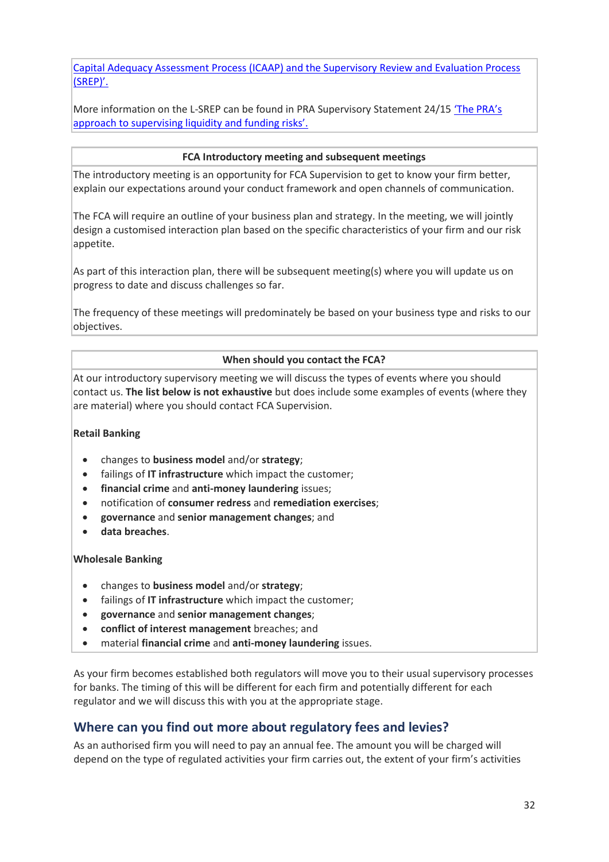[Capital Adequacy Assessment Process \(ICAAP\) and the Supervisory Review and Evaluation Process](http://www.bankofengland.co.uk/pra/Pages/publications/ss/2015/ss3115update.aspx)  [\(SREP\)'](http://www.bankofengland.co.uk/pra/Pages/publications/ss/2015/ss3115update.aspx).

More information on the L-SREP can be found in PRA Supervisory Statement 24/15 ['The PRA's](http://www.bankofengland.co.uk/pra/Pages/publications/ss/2015/ss2415.aspx)  [approach to supervising liquidity and funding risks'.](http://www.bankofengland.co.uk/pra/Pages/publications/ss/2015/ss2415.aspx)

#### **FCA Introductory meeting and subsequent meetings**

The introductory meeting is an opportunity for FCA Supervision to get to know your firm better, explain our expectations around your conduct framework and open channels of communication.

The FCA will require an outline of your business plan and strategy. In the meeting, we will jointly design a customised interaction plan based on the specific characteristics of your firm and our risk appetite.

As part of this interaction plan, there will be subsequent meeting(s) where you will update us on progress to date and discuss challenges so far.

The frequency of these meetings will predominately be based on your business type and risks to our objectives.

#### **When should you contact the FCA?**

At our introductory supervisory meeting we will discuss the types of events where you should contact us. **The list below is not exhaustive** but does include some examples of events (where they are material) where you should contact FCA Supervision.

#### **Retail Banking**

- changes to **business model** and/or **strategy**;
- failings of **IT infrastructure** which impact the customer;
- **financial crime** and **anti-money laundering** issues;
- notification of **consumer redress** and **remediation exercises**;
- **governance** and **senior management changes**; and
- **data breaches**.

#### **Wholesale Banking**

- changes to **business model** and/or **strategy**;
- failings of **IT infrastructure** which impact the customer;
- **governance** and **senior management changes**;
- **conflict of interest management** breaches; and
- material **financial crime** and **anti-money laundering** issues.

As your firm becomes established both regulators will move you to their usual supervisory processes for banks. The timing of this will be different for each firm and potentially different for each regulator and we will discuss this with you at the appropriate stage.

# **Where can you find out more about regulatory fees and levies?**

As an authorised firm you will need to pay an annual fee. The amount you will be charged will depend on the type of regulated activities your firm carries out, the extent of your firm's activities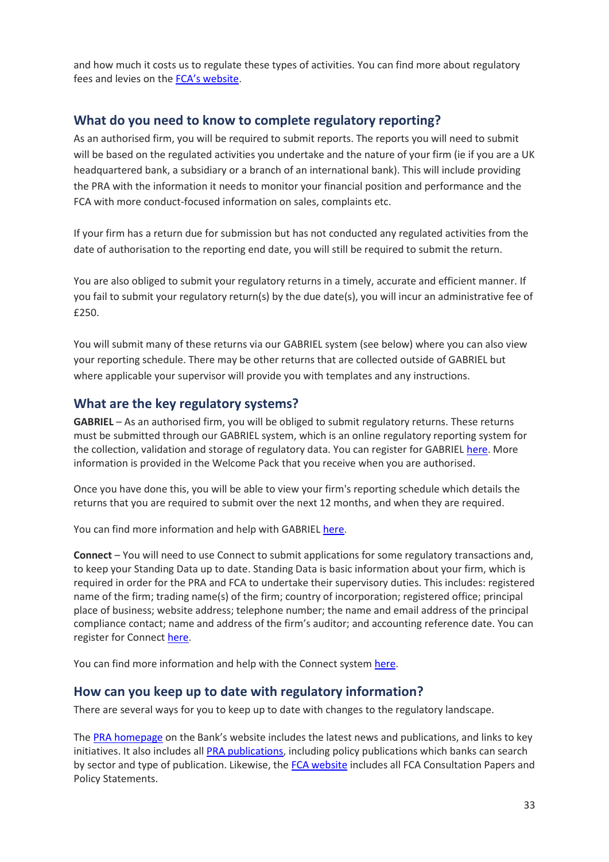and how much it costs us to regulate these types of activities. You can find more about regulatory fees and levies on the [FCA's website](https://www.the-fca.org.uk/fees-and-levies).

# **What do you need to know to complete regulatory reporting?**

As an authorised firm, you will be required to submit reports. The reports you will need to submit will be based on the regulated activities you undertake and the nature of your firm (ie if you are a UK headquartered bank, a subsidiary or a branch of an international bank). This will include providing the PRA with the information it needs to monitor your financial position and performance and the FCA with more conduct-focused information on sales, complaints etc.

If your firm has a return due for submission but has not conducted any regulated activities from the date of authorisation to the reporting end date, you will still be required to submit the return.

You are also obliged to submit your regulatory returns in a timely, accurate and efficient manner. If you fail to submit your regulatory return(s) by the due date(s), you will incur an administrative fee of £250.

You will submit many of these returns via our [GABRIEL](https://gabriel.fca.org.uk/portal_authentication_service/appmanager/merportal/desktop) system (see below) where you can also view your reporting schedule. There may be other returns that are collected outside of GABRIEL but where applicable your supervisor will provide you with templates and any instructions.

# **What are the key regulatory systems?**

**[GABRIEL](https://gabriel.fca.org.uk/portal_authentication_service/appmanager/merportal/desktop)** – As an authorised firm, you will be obliged to submit regulatory returns. These returns must be submitted through our GABRIEL system, which is an online regulatory reporting system for the collection, validation and storage of regulatory data. You can register for GABRIEL [here.](https://gabriel.fca.org.uk/portal_authentication_service/appmanager/merportal/desktop) More information is provided in the Welcome Pack that you receive when you are authorised.

Once you have done this, you will be able to view your firm's reporting schedule which details the returns that you are required to submit over the next 12 months, and when they are required.

You can find more information and help with GABRIEL [here.](https://gabriel.fca.org.uk/portal_authentication_service/appmanager/merportal/desktop)

**[Connect](http://www.fca.org.uk/firms/systems-reporting/connect)** – You will need to use Connect to submit applications for some regulatory transactions and, to keep your Standing Data up to date. Standing Data is basic information about your firm, which is required in order for the PRA and FCA to undertake their supervisory duties. This includes: registered name of the firm; trading name(s) of the firm; country of incorporation; registered office; principal place of business; website address; telephone number; the name and email address of the principal compliance contact; name and address of the firm's auditor; and accounting reference date. You can register for Connect [here.](http://www.fca.org.uk/firms/systems-reporting/connect)

You can find more information and help with the Connect system [here.](http://www.fca.org.uk/firms/systems-reporting/connect)

# **How can you keep up to date with regulatory information?**

There are several ways for you to keep up to date with changes to the regulatory landscape.

The [PRA homepage](http://www.bankofengland.co.uk/pra/Pages/default.aspx) on the Bank's website includes the latest news and publications, and links to key initiatives. It also includes all [PRA publications,](http://www.bankofengland.co.uk/pra/Pages/publications/default.aspx) including policy publications which banks can search by sector and type of publication. Likewise, th[e FCA website](http://www.fca.org.uk/) includes all FCA Consultation Papers and Policy Statements.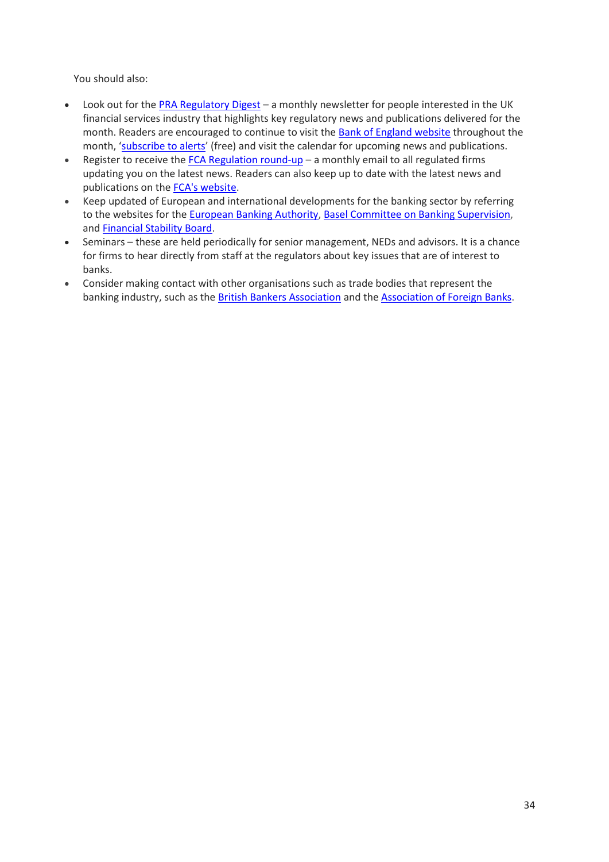You should also:

- Look out for the [PRA Regulatory Digest](http://www.bankofengland.co.uk/pra/Pages/publications/regdigest/default.aspx) a monthly newsletter for people interested in the UK financial services industry that highlights key regulatory news and publications delivered for the month. Readers are encouraged to continue to visit the [Bank of England website](http://www.bankofengland.co.uk/pra/Pages/default.aspx) throughout the month, '[subscribe to alerts](http://www.bankofengland.co.uk/Pages/subscribe.aspx)' (free) and visit the calendar for upcoming news and publications.
- Register to receive the  $FCA$  Regulation round-up  $-$  a monthly email to all regulated firms updating you on the latest news. Readers can also keep up to date with the latest news and publications on the [FCA's website.](http://www.fca.org.uk/news/list)
- Keep updated of European and international developments for the banking sector by referring to the websites for the [European Banking Authority,](http://www.eba.europa.eu/) [Basel Committee on Banking Supervision,](https://www.bis.org/bcbs/publications.htm) and [Financial Stability Board.](http://www.fsb.org/)
- Seminars these are held periodically for senior management, NEDs and advisors. It is a chance for firms to hear directly from staff at the regulators about key issues that are of interest to banks.
- Consider making contact with other organisations such as trade bodies that represent the banking industry, such as the [British Bankers Association](https://www.bba.org.uk/) and th[e Association of Foreign Banks.](http://www.foreignbanks.org.uk/)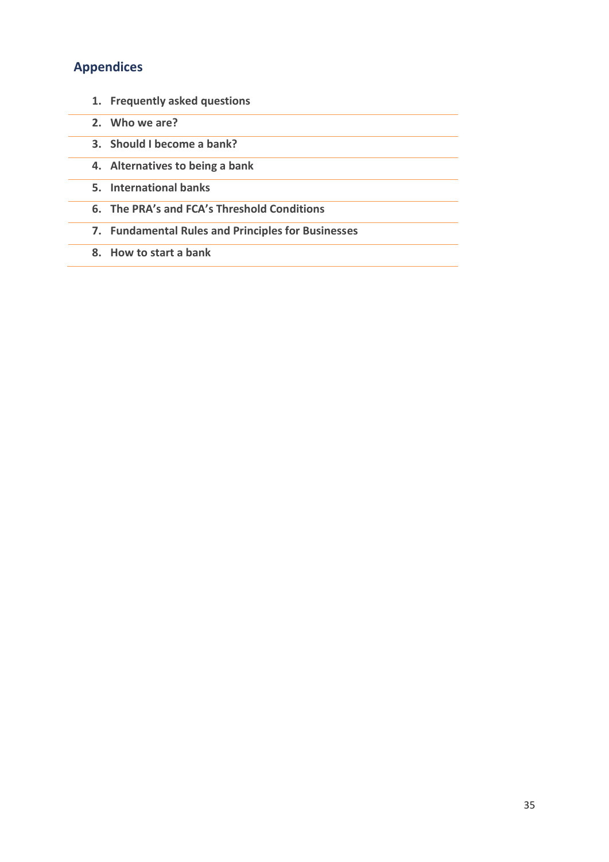# **Appendices**

- **1. Frequently asked questions**
- **2. Who we are?**
- **3. Should I become a bank?**
- **4. Alternatives to being a bank**
- **5. International banks**
- **6. The PRA's and FCA's Threshold Conditions**
- **7. Fundamental Rules and Principles for Businesses**
- **8. How to start a bank**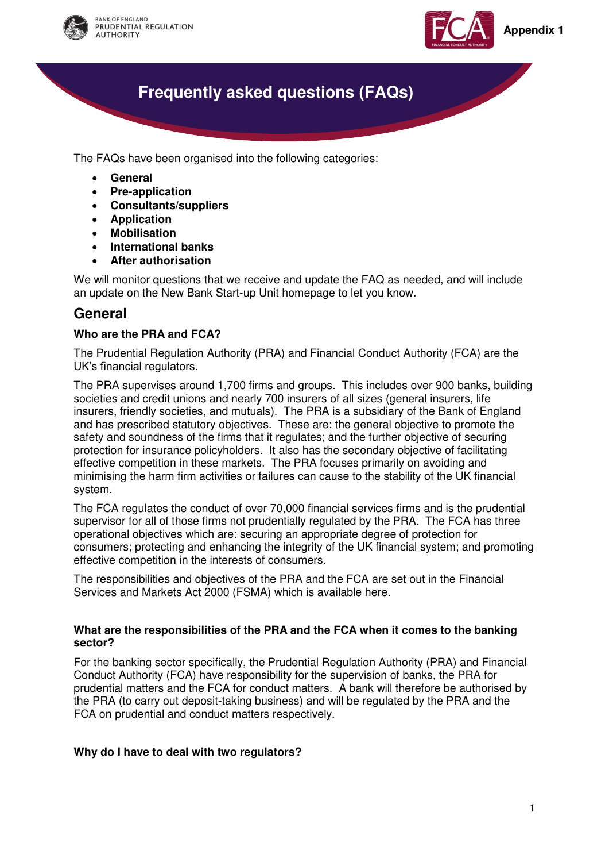



# **Frequently asked questions (FAQs)**

<span id="page-35-1"></span>The FAQs have been organised into the following categories:

- **[General](#page-35-0)**
- **[Pre-application](#page-39-0)**
- **[Consultants/suppliers](#page-41-0)**
- **[Application](#page-42-0)**
- **[Mobilisation](#page-43-0)**
- **[International banks](#page-45-0)**
- **[After authorisation](#page-46-0)**

We will monitor questions that we receive and update the FAQ as needed, and will include an update on the New Bank Start-up Unit homepage to let you know.

# <span id="page-35-0"></span>**General**

#### **Who are the PRA and FCA?**

The Prudential Regulation Authority (PRA) and Financial Conduct Authority (FCA) are the UK's financial regulators.

The PRA supervises around 1,700 firms and groups. This includes over 900 banks, building societies and credit unions and nearly 700 insurers of all sizes (general insurers, life insurers, friendly societies, and mutuals). The PRA is a subsidiary of the Bank of England and has prescribed statutory objectives. These are: the general objective to promote the safety and soundness of the firms that it regulates; and the further objective of securing protection for insurance policyholders. It also has the secondary objective of facilitating effective competition in these markets. The PRA focuses primarily on avoiding and minimising the harm firm activities or failures can cause to the stability of the UK financial system.

The FCA regulates the conduct of over 70,000 financial services firms and is the prudential supervisor for all of those firms not prudentially regulated by the PRA. The FCA has three operational objectives which are: securing an appropriate degree of protection for consumers; protecting and enhancing the integrity of the UK financial system; and promoting effective competition in the interests of consumers.

The responsibilities and objectives of the PRA and the FCA are set out in the Financial Services and Markets Act 2000 (FSMA) which is available here.

#### **What are the responsibilities of the PRA and the FCA when it comes to the banking sector?**

For the banking sector specifically, the Prudential Regulation Authority (PRA) and Financial Conduct Authority (FCA) have responsibility for the supervision of banks, the PRA for prudential matters and the FCA for conduct matters. A bank will therefore be authorised by the PRA (to carry out deposit-taking business) and will be regulated by the PRA and the FCA on prudential and conduct matters respectively.

#### **Why do I have to deal with two regulators?**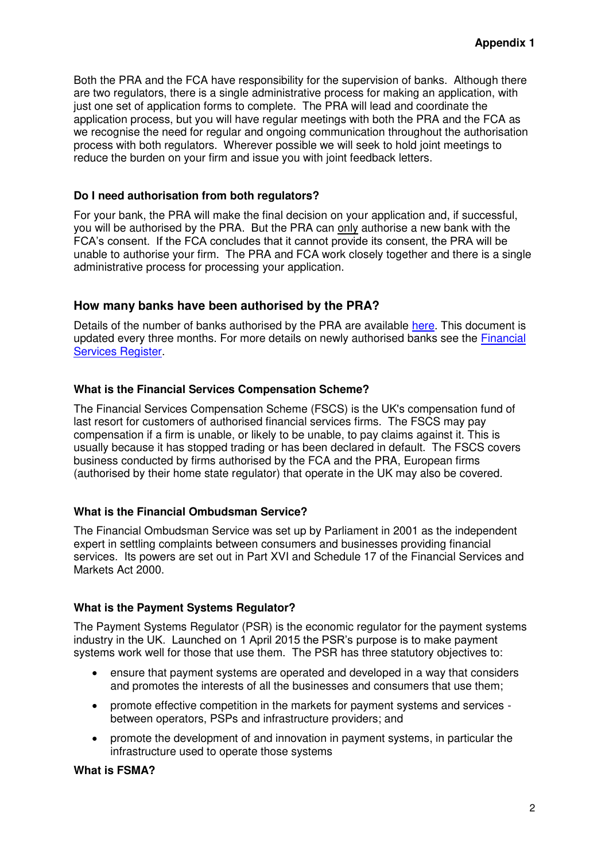Both the PRA and the FCA have responsibility for the supervision of banks. Although there are two regulators, there is a single administrative process for making an application, with just one set of application forms to complete. The PRA will lead and coordinate the application process, but you will have regular meetings with both the PRA and the FCA as we recognise the need for regular and ongoing communication throughout the authorisation process with both regulators. Wherever possible we will seek to hold joint meetings to reduce the burden on your firm and issue you with joint feedback letters.

#### **Do I need authorisation from both regulators?**

For your bank, the PRA will make the final decision on your application and, if successful, you will be authorised by the PRA. But the PRA can only authorise a new bank with the FCA's consent. If the FCA concludes that it cannot provide its consent, the PRA will be unable to authorise your firm. The PRA and FCA work closely together and there is a single administrative process for processing your application.

### **How many banks have been authorised by the PRA?**

Details of the number of banks authorised by the PRA are available [here.](http://www.bankofengland.co.uk/pra/Documents/authorisations/newfirmauths/listbanksauthorisedjan16.pdf) This document is updated every three months. For more details on newly authorised banks see the [Financial](https://register.fca.org.uk/)  [Services Register.](https://register.fca.org.uk/)

#### **What is the Financial Services Compensation Scheme?**

The Financial Services Compensation Scheme (FSCS) is the UK's compensation fund of last resort for customers of authorised financial services firms. The FSCS may pay compensation if a firm is unable, or likely to be unable, to pay claims against it. This is usually because it has stopped trading or has been declared in default. The FSCS covers business conducted by firms authorised by the FCA and the PRA, European firms (authorised by their home state regulator) that operate in the UK may also be covered.

#### **What is the Financial Ombudsman Service?**

The Financial Ombudsman Service was set up by Parliament in 2001 as the independent expert in settling complaints between consumers and businesses providing financial services. Its powers are set out in Part XVI and Schedule 17 of the Financial Services and Markets Act 2000.

#### **What is the Payment Systems Regulator?**

The Payment Systems Regulator (PSR) is the economic regulator for the payment systems industry in the UK. Launched on 1 April 2015 the PSR's purpose is to make payment systems work well for those that use them. The PSR has three statutory objectives to:

- ensure that payment systems are operated and developed in a way that considers and promotes the interests of all the businesses and consumers that use them;
- promote effective competition in the markets for payment systems and services between operators, PSPs and infrastructure providers; and
- promote the development of and innovation in payment systems, in particular the infrastructure used to operate those systems

#### **What is FSMA?**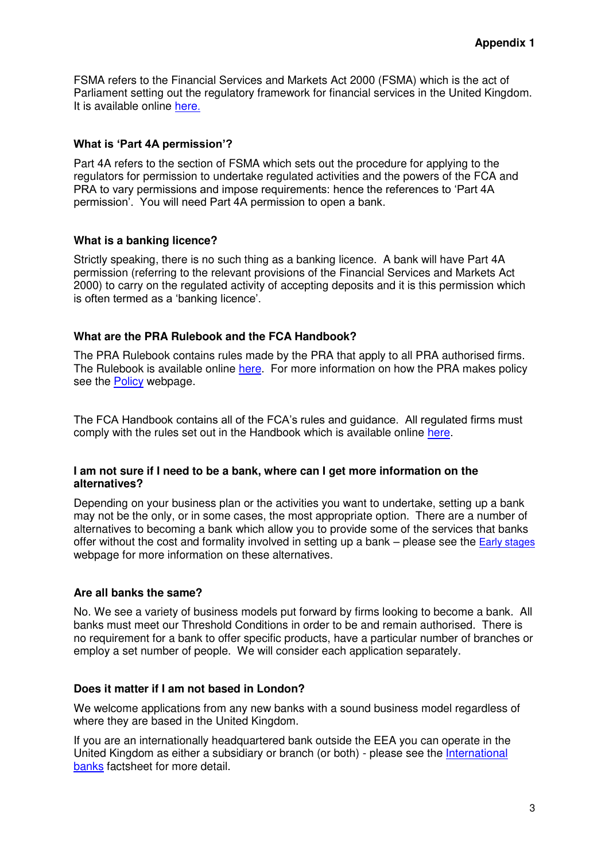FSMA refers to the Financial Services and Markets Act 2000 (FSMA) which is the act of Parliament setting out the regulatory framework for financial services in the United Kingdom. It is available online [here](http://www.legislation.gov.uk/uksi/2001/544/contents/made).

#### **What is 'Part 4A permission'?**

Part 4A refers to the section of FSMA which sets out the procedure for applying to the regulators for permission to undertake regulated activities and the powers of the FCA and PRA to vary permissions and impose requirements: hence the references to 'Part 4A permission'. You will need Part 4A permission to open a bank.

#### **What is a banking licence?**

Strictly speaking, there is no such thing as a banking licence. A bank will have Part 4A permission (referring to the relevant provisions of the Financial Services and Markets Act 2000) to carry on the regulated activity of accepting deposits and it is this permission which is often termed as a 'banking licence'.

#### **What are the PRA Rulebook and the FCA Handbook?**

The PRA Rulebook contains rules made by the PRA that apply to all PRA authorised firms. The Rulebook is available online [here.](http://www.prarulebook.co.uk/) For more information on how the PRA makes policy see the [Policy](http://www.bankofengland.co.uk/pra/Pages/policy/default.aspx) webpage.

The FCA Handbook contains all of the FCA's rules and guidance. All regulated firms must comply with the rules set out in the Handbook which is available online [here.](http://www.fca.org.uk/handbook)

#### **I am not sure if I need to be a bank, where can I get more information on the alternatives?**

Depending on your business plan or the activities you want to undertake, setting up a bank may not be the only, or in some cases, the most appropriate option. There are a number of alternatives to becoming a bank which allow you to provide some of the services that banks offer without the cost and formality involved in setting up a bank – please see the **[Early stages](http://www.bankofengland.co.uk/pra/nbsu/Pages/earlystages.aspx)** webpage for more information on these alternatives.

#### **Are all banks the same?**

No. We see a variety of business models put forward by firms looking to become a bank. All banks must meet our Threshold Conditions in order to be and remain authorised. There is no requirement for a bank to offer specific products, have a particular number of branches or employ a set number of people. We will consider each application separately.

#### **Does it matter if I am not based in London?**

We welcome applications from any new banks with a sound business model regardless of where they are based in the United Kingdom.

If you are an internationally headquartered bank outside the EEA you can operate in the United Kingdom as either a subsidiary or branch (or both) - please see the [International](http://www.bankofengland.co.uk/pra/Documents/authorisations/newfirmauths/internationalbanks.pdf)  [banks](http://www.bankofengland.co.uk/pra/Documents/authorisations/newfirmauths/internationalbanks.pdf) factsheet for more detail.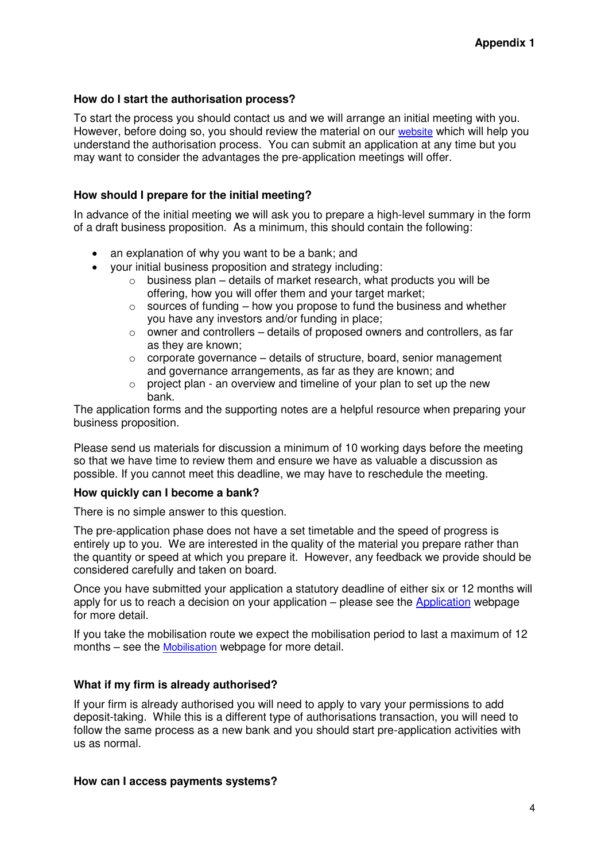#### **How do I start the authorisation process?**

To start the process you should contact us and we will arrange an initial meeting with you. However, before doing so, you should review the material on our [website](http://www.bankofengland.co.uk/pra/nbsu/Pages/default.aspx) which will help you understand the authorisation process. You can submit an application at any time but you may want to consider the advantages the pre-application meetings will offer.

#### **How should I prepare for the initial meeting?**

In advance of the initial meeting we will ask you to prepare a high-level summary in the form of a draft business proposition. As a minimum, this should contain the following:

- an explanation of why you want to be a bank; and
- your initial business proposition and strategy including:
	- $\circ$  business plan details of market research, what products you will be offering, how you will offer them and your target market;
	- $\circ$  sources of funding how you propose to fund the business and whether you have any investors and/or funding in place;
	- o owner and controllers details of proposed owners and controllers, as far as they are known;
	- $\circ$  corporate governance details of structure, board, senior management and governance arrangements, as far as they are known; and
	- $\circ$  project plan an overview and timeline of your plan to set up the new bank.

The [application forms and the supporting notes](http://boe-cms-authoring/pra/Pages/authorisations/newfirm/default.aspx) are a helpful resource when preparing your business proposition.

Please send us materials for discussion a minimum of 10 working days before the meeting so that we have time to review them and ensure we have as valuable a discussion as possible. If you cannot meet this deadline, we may have to reschedule the meeting.

#### **How quickly can I become a bank?**

There is no simple answer to this question.

The pre-application phase does not have a set timetable and the speed of progress is entirely up to you. We are interested in the quality of the material you prepare rather than the quantity or speed at which you prepare it. However, any feedback we provide should be considered carefully and taken on board.

Once you have submitted your application a statutory deadline of either six or 12 months will apply for us to reach a decision on your application – please see the [Application](http://www.bankofengland.co.uk/pra/nbsu/Pages/submittingassessing.aspx) webpage for more detail.

If you take the mobilisation route we expect the mobilisation period to last a maximum of 12 months – see the [Mobilisation](http://www.bankofengland.co.uk/pra/nbsu/Pages/mobilisation.aspx) webpage for more detail.

#### **What if my firm is already authorised?**

If your firm is already authorised you will need to apply to vary your permissions to add deposit-taking. While this is a different type of authorisations transaction, you will need to follow the same process as a new bank and you should start pre-application activities with us as normal.

#### **How can I access payments systems?**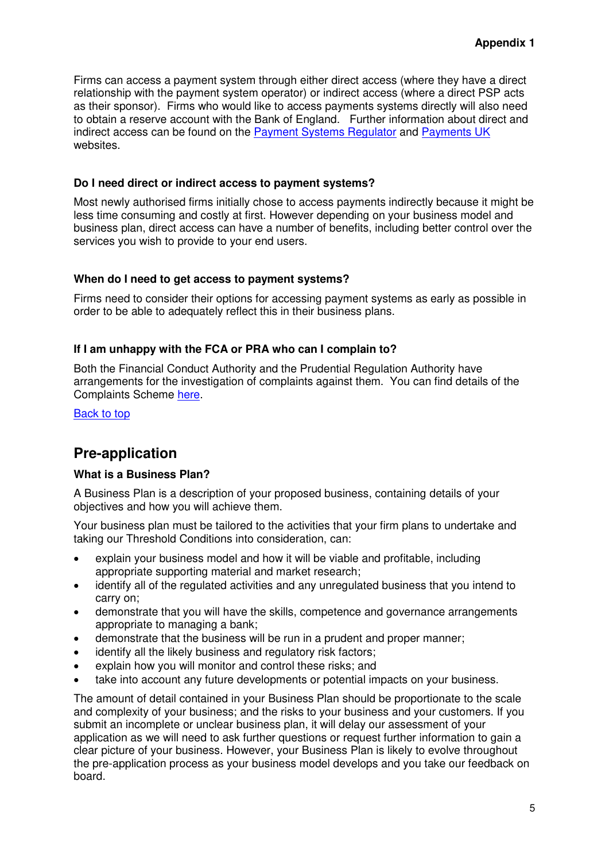Firms can access a payment system through either direct access (where they have a direct relationship with the payment system operator) or indirect access (where a direct PSP acts as their sponsor). Firms who would like to access payments systems directly will also need to obtain a reserve account with the Bank of England. Further information about direct and indirect access can be found on the [Payment Systems Regulator](https://www.psr.org.uk/psr-focus/access) and [Payments UK](http://www.accesstopaymentsystems.co.uk/) websites.

#### **Do I need direct or indirect access to payment systems?**

Most newly authorised firms initially chose to access payments indirectly because it might be less time consuming and costly at first. However depending on your business model and business plan, direct access can have a number of benefits, including better control over the services you wish to provide to your end users.

#### **When do I need to get access to payment systems?**

Firms need to consider their options for accessing payment systems as early as possible in order to be able to adequately reflect this in their business plans.

#### **If I am unhappy with the FCA or PRA who can I complain to?**

Both the Financial Conduct Authority and the Prudential Regulation Authority have arrangements for the investigation of complaints against them. You can find details of the Complaints Scheme [here.](http://www.bankofengland.co.uk/about/Pages/complaints/default.aspx)

[Back to top](#page-35-1)

# <span id="page-39-0"></span>**Pre-application**

#### **What is a Business Plan?**

A Business Plan is a description of your proposed business, containing details of your objectives and how you will achieve them.

Your business plan must be tailored to the activities that your firm plans to undertake and taking our Threshold Conditions into consideration, can:

- explain your business model and how it will be viable and profitable, including appropriate supporting material and market research;
- identify all of the regulated activities and any unregulated business that you intend to carry on;
- demonstrate that you will have the skills, competence and governance arrangements appropriate to managing a bank;
- demonstrate that the business will be run in a prudent and proper manner;
- identify all the likely business and regulatory risk factors;
- explain how you will monitor and control these risks; and
- take into account any future developments or potential impacts on your business.

The amount of detail contained in your Business Plan should be proportionate to the scale and complexity of your business; and the risks to your business and your customers. If you submit an incomplete or unclear business plan, it will delay our assessment of your application as we will need to ask further questions or request further information to gain a clear picture of your business. However, your Business Plan is likely to evolve throughout the pre-application process as your business model develops and you take our feedback on board.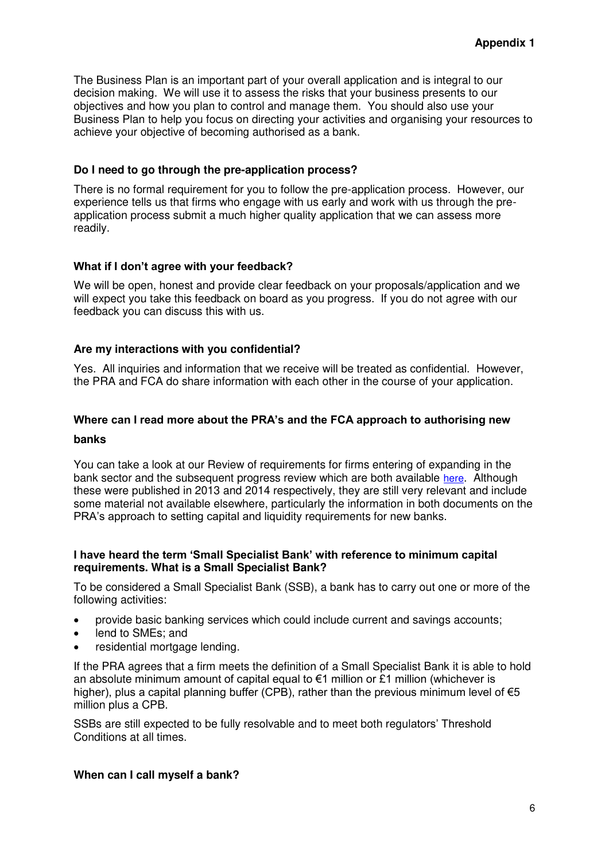The Business Plan is an important part of your overall application and is integral to our decision making. We will use it to assess the risks that your business presents to our objectives and how you plan to control and manage them. You should also use your Business Plan to help you focus on directing your activities and organising your resources to achieve your objective of becoming authorised as a bank.

#### **Do I need to go through the pre-application process?**

There is no formal requirement for you to follow the pre-application process. However, our experience tells us that firms who engage with us early and work with us through the preapplication process submit a much higher quality application that we can assess more readily.

#### **What if I don't agree with your feedback?**

We will be open, honest and provide clear feedback on your proposals/application and we will expect you take this feedback on board as you progress. If you do not agree with our feedback you can discuss this with us.

#### **Are my interactions with you confidential?**

Yes. All inquiries and information that we receive will be treated as confidential. However, the PRA and FCA do share information with each other in the course of your application.

### **Where can I read more about the PRA's and the FCA approach to authorising new banks**

You can take a look at our Review of requirements for firms entering of expanding in the bank sector and the subsequent progress review which are both available [here](http://www.bankofengland.co.uk/pra/Pages/publications/reports/2014/reviewrequirements.aspx). Although these were published in 2013 and 2014 respectively, they are still very relevant and include some material not available elsewhere, particularly the information in both documents on the PRA's approach to setting capital and liquidity requirements for new banks.

#### **I have heard the term 'Small Specialist Bank' with reference to minimum capital requirements. What is a Small Specialist Bank?**

To be considered a Small Specialist Bank (SSB), a bank has to carry out one or more of the following activities:

- provide basic banking services which could include current and savings accounts;
- lend to SMEs; and
- residential mortgage lending.

If the PRA agrees that a firm meets the definition of a Small Specialist Bank it is able to hold an absolute minimum amount of capital equal to  $\epsilon$ 1 million or £1 million (whichever is higher), plus a capital planning buffer (CPB), rather than the previous minimum level of  $\epsilon$ 5 million plus a CPB.

SSBs are still expected to be fully resolvable and to meet both regulators' Threshold Conditions at all times.

#### **When can I call myself a bank?**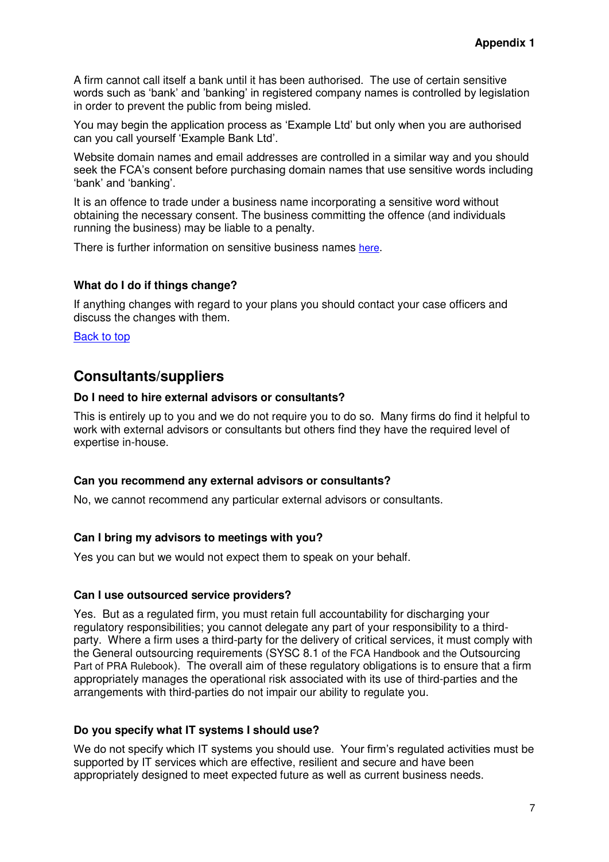A firm cannot call itself a bank until it has been authorised. The use of certain sensitive words such as 'bank' and 'banking' in registered company names is controlled by legislation in order to prevent the public from being misled.

You may begin the application process as 'Example Ltd' but only when you are authorised can you call yourself 'Example Bank Ltd'.

Website domain names and email addresses are controlled in a similar way and you should seek the FCA's consent before purchasing domain names that use sensitive words including 'bank' and 'banking'.

It is an offence to trade under a business name incorporating a sensitive word without obtaining the necessary consent. The business committing the offence (and individuals running the business) may be liable to a penalty.

There is further information on sensitive business names [here](https://www.the-fca.org.uk/sensitive-names?field_fcasf_sector=unset&field_fcasf_page_category=unset).

#### **What do I do if things change?**

If anything changes with regard to your plans you should contact your case officers and discuss the changes with them.

[Back to top](#page-35-1)

# <span id="page-41-0"></span>**Consultants/suppliers**

#### **Do I need to hire external advisors or consultants?**

This is entirely up to you and we do not require you to do so. Many firms do find it helpful to work with external advisors or consultants but others find they have the required level of expertise in-house.

#### **Can you recommend any external advisors or consultants?**

No, we cannot recommend any particular external advisors or consultants.

#### **Can I bring my advisors to meetings with you?**

Yes you can but we would not expect them to speak on your behalf.

#### **Can I use outsourced service providers?**

Yes. But as a regulated firm, you must retain full accountability for discharging your regulatory responsibilities; you cannot delegate any part of your responsibility to a thirdparty. Where a firm uses a third-party for the delivery of critical services, it must comply with the General outsourcing requirements (SYSC 8.1 of the FCA Handbook and the Outsourcing Part of PRA Rulebook). The overall aim of these regulatory obligations is to ensure that a firm appropriately manages the operational risk associated with its use of third-parties and the arrangements with third-parties do not impair our ability to regulate you.

#### **Do you specify what IT systems I should use?**

We do not specify which IT systems you should use. Your firm's regulated activities must be supported by IT services which are effective, resilient and secure and have been appropriately designed to meet expected future as well as current business needs.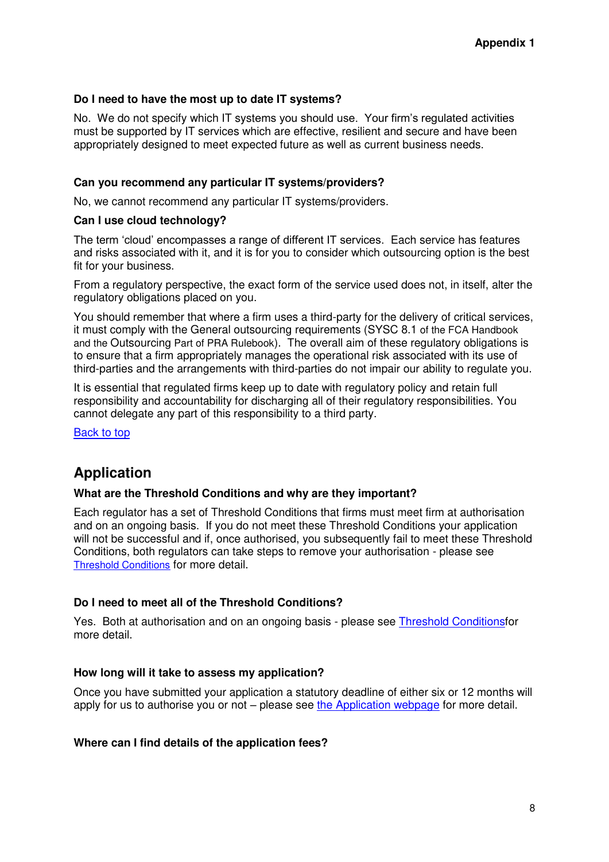#### **Do I need to have the most up to date IT systems?**

No. We do not specify which IT systems you should use. Your firm's regulated activities must be supported by IT services which are effective, resilient and secure and have been appropriately designed to meet expected future as well as current business needs.

#### **Can you recommend any particular IT systems/providers?**

No, we cannot recommend any particular IT systems/providers.

#### **Can I use cloud technology?**

The term 'cloud' encompasses a range of different IT services. Each service has features and risks associated with it, and it is for you to consider which outsourcing option is the best fit for your business.

From a regulatory perspective, the exact form of the service used does not, in itself, alter the regulatory obligations placed on you.

You should remember that where a firm uses a third-party for the delivery of critical services, it must comply with the General outsourcing requirements (SYSC 8.1 of the FCA Handbook and the Outsourcing Part of PRA Rulebook). The overall aim of these regulatory obligations is to ensure that a firm appropriately manages the operational risk associated with its use of third-parties and the arrangements with third-parties do not impair our ability to regulate you.

It is essential that regulated firms keep up to date with regulatory policy and retain full responsibility and accountability for discharging all of their regulatory responsibilities. You cannot delegate any part of this responsibility to a third party.

[Back to top](#page-35-1)

# <span id="page-42-0"></span>**Application**

#### **What are the Threshold Conditions and why are they important?**

Each regulator has a set of Threshold Conditions that firms must meet firm at authorisation and on an ongoing basis. If you do not meet these Threshold Conditions your application will not be successful and if, once authorised, you subsequently fail to meet these Threshold Conditions, both regulators can take steps to remove your authorisation - please see [Threshold Conditions](http://www.bankofengland.co.uk/pra/Documents/authorisations/newfirmauths/thresholdconditionsfactsheet.pdf) for more detail.

#### **Do I need to meet all of the Threshold Conditions?**

Yes. Both at authorisation and on an ongoing basis - please see [Threshold Conditionsf](http://www.bankofengland.co.uk/pra/Documents/authorisations/newfirmauths/thresholdconditionsfactsheet.pdf)or more detail.

#### **How long will it take to assess my application?**

Once you have submitted your application a statutory deadline of either six or 12 months will apply for us to authorise you or not – please see [the Application webpage](http://www.bankofengland.co.uk/pra/nbsu/Pages/submittingassessing.aspx) for more detail.

#### **Where can I find details of the application fees?**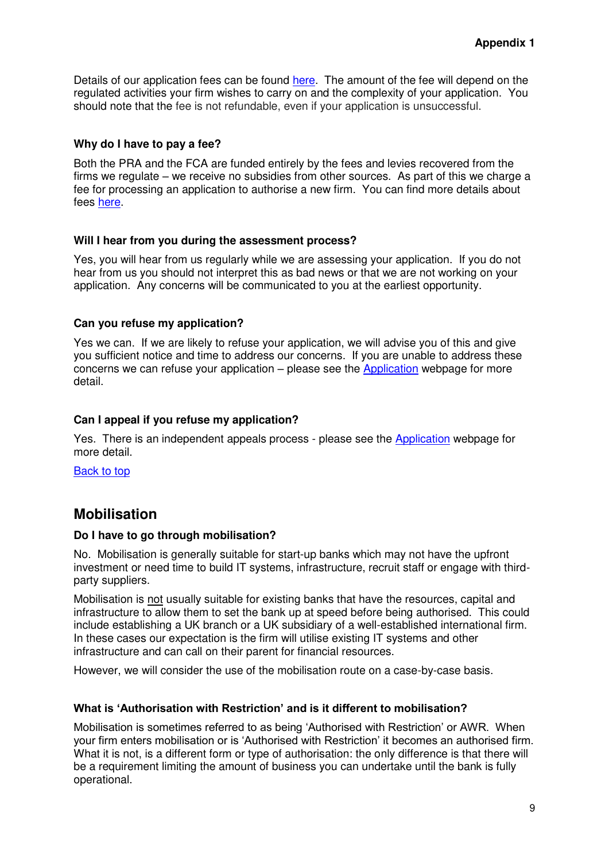Details of our application fees can be found [here.](http://www.bankofengland.co.uk/pra/nbsu/Pages/submittingassessing.aspx) The amount of the fee will depend on the regulated activities your firm wishes to carry on and the complexity of your application. You should note that the fee is not refundable, even if your application is unsuccessful.

#### **Why do I have to pay a fee?**

Both the PRA and the FCA are funded entirely by the fees and levies recovered from the firms we regulate – we receive no subsidies from other sources. As part of this we charge a fee for processing an application to authorise a new firm. You can find more details about fees [here.](http://www.bankofengland.co.uk/pra/nbsu/Pages/submittingassessing.aspx)

#### **Will I hear from you during the assessment process?**

Yes, you will hear from us regularly while we are assessing your application. If you do not hear from us you should not interpret this as bad news or that we are not working on your application. Any concerns will be communicated to you at the earliest opportunity.

#### **Can you refuse my application?**

Yes we can. If we are likely to refuse your application, we will advise you of this and give you sufficient notice and time to address our concerns. If you are unable to address these concerns we can refuse your application – please see the [Application](http://www.bankofengland.co.uk/pra/nbsu/Pages/submittingassessing.aspx) webpage for more detail.

#### **Can I appeal if you refuse my application?**

Yes. There is an independent appeals process - please see the [Application](http://www.bankofengland.co.uk/pra/nbsu/Pages/submittingassessing.aspx) webpage for more detail.

<span id="page-43-0"></span>[Back to top](#page-35-1)

# **Mobilisation**

#### **Do I have to go through mobilisation?**

No. Mobilisation is generally suitable for start-up banks which may not have the upfront investment or need time to build IT systems, infrastructure, recruit staff or engage with thirdparty suppliers.

Mobilisation is not usually suitable for existing banks that have the resources, capital and infrastructure to allow them to set the bank up at speed before being authorised. This could include establishing a UK branch or a UK subsidiary of a well-established international firm. In these cases our expectation is the firm will utilise existing IT systems and other infrastructure and can call on their parent for financial resources.

However, we will consider the use of the mobilisation route on a case-by-case basis.

#### **What is 'Authorisation with Restriction' and is it different to mobilisation?**

Mobilisation is sometimes referred to as being 'Authorised with Restriction' or AWR. When your firm enters mobilisation or is 'Authorised with Restriction' it becomes an authorised firm. What it is not, is a different form or type of authorisation: the only difference is that there will be a requirement limiting the amount of business you can undertake until the bank is fully operational.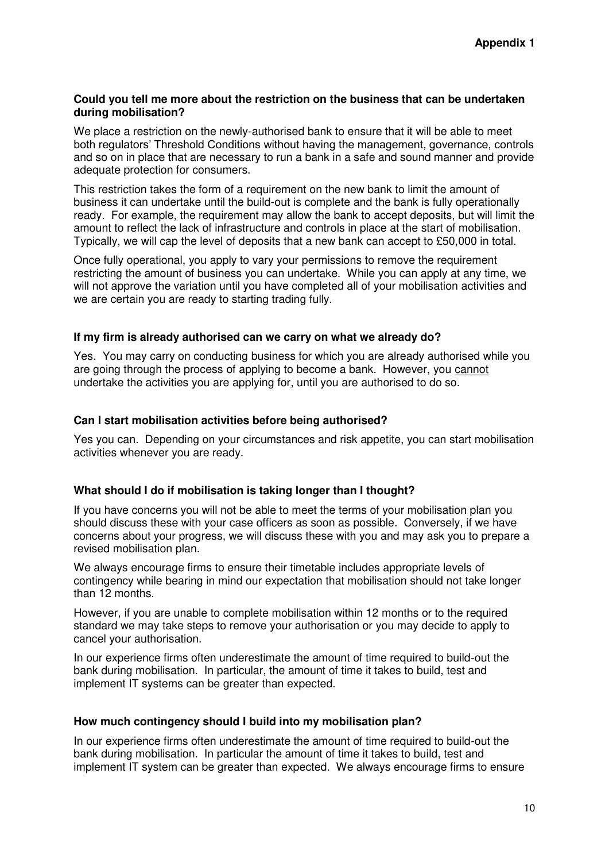#### **Could you tell me more about the restriction on the business that can be undertaken during mobilisation?**

We place a restriction on the newly-authorised bank to ensure that it will be able to meet both regulators' Threshold Conditions without having the management, governance, controls and so on in place that are necessary to run a bank in a safe and sound manner and provide adequate protection for consumers.

This restriction takes the form of a requirement on the new bank to limit the amount of business it can undertake until the build-out is complete and the bank is fully operationally ready. For example, the requirement may allow the bank to accept deposits, but will limit the amount to reflect the lack of infrastructure and controls in place at the start of mobilisation. Typically, we will cap the level of deposits that a new bank can accept to £50,000 in total.

Once fully operational, you apply to vary your permissions to remove the requirement restricting the amount of business you can undertake. While you can apply at any time, we will not approve the variation until you have completed all of your mobilisation activities and we are certain you are ready to starting trading fully.

#### **If my firm is already authorised can we carry on what we already do?**

Yes. You may carry on conducting business for which you are already authorised while you are going through the process of applying to become a bank. However, you cannot undertake the activities you are applying for, until you are authorised to do so.

#### **Can I start mobilisation activities before being authorised?**

Yes you can. Depending on your circumstances and risk appetite, you can start mobilisation activities whenever you are ready.

#### **What should I do if mobilisation is taking longer than I thought?**

If you have concerns you will not be able to meet the terms of your mobilisation plan you should discuss these with your case officers as soon as possible. Conversely, if we have concerns about your progress, we will discuss these with you and may ask you to prepare a revised mobilisation plan.

We always encourage firms to ensure their timetable includes appropriate levels of contingency while bearing in mind our expectation that mobilisation should not take longer than 12 months.

However, if you are unable to complete mobilisation within 12 months or to the required standard we may take steps to remove your authorisation or you may decide to apply to cancel your authorisation.

In our experience firms often underestimate the amount of time required to build-out the bank during mobilisation. In particular, the amount of time it takes to build, test and implement IT systems can be greater than expected.

#### **How much contingency should I build into my mobilisation plan?**

In our experience firms often underestimate the amount of time required to build-out the bank during mobilisation. In particular the amount of time it takes to build, test and implement IT system can be greater than expected. We always encourage firms to ensure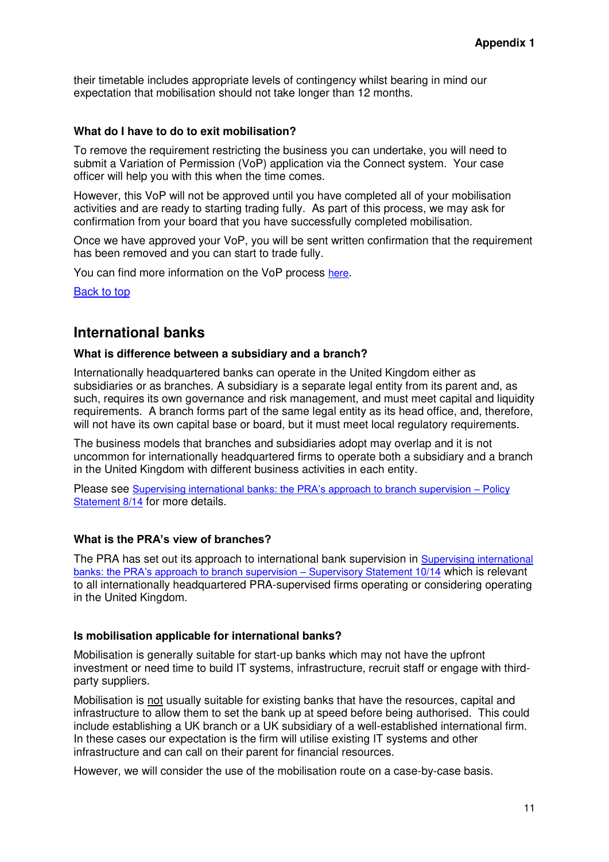their timetable includes appropriate levels of contingency whilst bearing in mind our expectation that mobilisation should not take longer than 12 months.

#### **What do I have to do to exit mobilisation?**

To remove the requirement restricting the business you can undertake, you will need to submit a Variation of Permission (VoP) application via the Connect system. Your case officer will help you with this when the time comes.

However, this VoP will not be approved until you have completed all of your mobilisation activities and are ready to starting trading fully. As part of this process, we may ask for confirmation from your board that you have successfully completed mobilisation.

Once we have approved your VoP, you will be sent written confirmation that the requirement has been removed and you can start to trade fully.

You can find more information on the VoP process [here](http://www.bankofengland.co.uk/pra/Pages/authorisations/variationpermission/default.aspx).

[Back to top](#page-35-1)

# <span id="page-45-0"></span>**International banks**

#### **What is difference between a subsidiary and a branch?**

Internationally headquartered banks can operate in the United Kingdom either as subsidiaries or as branches. A subsidiary is a separate legal entity from its parent and, as such, requires its own governance and risk management, and must meet capital and liquidity requirements. A branch forms part of the same legal entity as its head office, and, therefore, will not have its own capital base or board, but it must meet local regulatory requirements.

The business models that branches and subsidiaries adopt may overlap and it is not uncommon for internationally headquartered firms to operate both a subsidiary and a branch in the United Kingdom with different business activities in each entity.

Please see [Supervising international banks: the PRA's approach to branch supervision –](http://www.bankofengland.co.uk/pra/Pages/publications/ps/2014/ps814.aspx) Policy [Statement 8/14](http://www.bankofengland.co.uk/pra/Pages/publications/ps/2014/ps814.aspx) for more details.

#### **What is the PRA's view of branches?**

The PRA has set out its approach to international bank supervision in Supervising international [banks: the PRA's approach to branch supervision –](http://www.bankofengland.co.uk/pra/Pages/publications/ps/2014/ps814.aspx) Supervisory Statement 10/14 which is relevant to all internationally headquartered PRA-supervised firms operating or considering operating in the United Kingdom.

#### **Is mobilisation applicable for international banks?**

Mobilisation is generally suitable for start-up banks which may not have the upfront investment or need time to build IT systems, infrastructure, recruit staff or engage with thirdparty suppliers.

Mobilisation is not usually suitable for existing banks that have the resources, capital and infrastructure to allow them to set the bank up at speed before being authorised. This could include establishing a UK branch or a UK subsidiary of a well-established international firm. In these cases our expectation is the firm will utilise existing IT systems and other infrastructure and can call on their parent for financial resources.

However, we will consider the use of the mobilisation route on a case-by-case basis.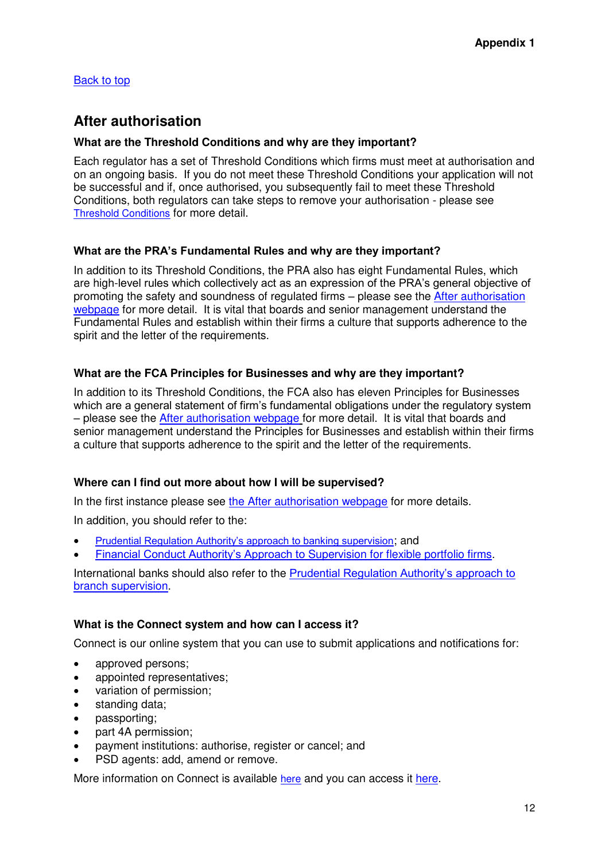[Back to top](#page-35-1)

# <span id="page-46-0"></span>**After authorisation**

#### **What are the Threshold Conditions and why are they important?**

Each regulator has a set of Threshold Conditions which firms must meet at authorisation and on an ongoing basis. If you do not meet these Threshold Conditions your application will not be successful and if, once authorised, you subsequently fail to meet these Threshold Conditions, both regulators can take steps to remove your authorisation - please see [Threshold Conditions](http://www.bankofengland.co.uk/pra/Documents/authorisations/newfirmauths/thresholdconditionsfactsheet.pdf) for more detail.

#### **What are the PRA's Fundamental Rules and why are they important?**

In addition to its Threshold Conditions, the PRA also has eight Fundamental Rules, which are high-level rules which collectively act as an expression of the PRA's general objective of promoting the safety and soundness of regulated firms – please see the [After authorisation](http://www.bankofengland.co.uk/pra/nbsu/Pages/postauth.aspx)  [webpage](http://www.bankofengland.co.uk/pra/nbsu/Pages/postauth.aspx) for more detail. It is vital that boards and senior management understand the Fundamental Rules and establish within their firms a culture that supports adherence to the spirit and the letter of the requirements.

#### **What are the FCA Principles for Businesses and why are they important?**

In addition to its Threshold Conditions, the FCA also has eleven Principles for Businesses which are a general statement of firm's fundamental obligations under the regulatory system – please see the [After authorisation webpage](http://www.bankofengland.co.uk/pra/nbsu/Pages/postauth.aspx) for more detail. It is vital that boards and senior management understand the Principles for Businesses and establish within their firms a culture that supports adherence to the spirit and the letter of the requirements.

#### **Where can I find out more about how I will be supervised?**

In the first instance please see [the After authorisation webpage](http://www.bankofengland.co.uk/pra/nbsu/Pages/postauth.aspx) for more details.

In addition, you should refer to the:

- [Prudential Regulation Authority's approach to banking supervision](http://www.bankofengland.co.uk/pra/Pages/supervision/approach/default.aspx); and
- [Financial Conduct Authority's Approach to](http://www.fca.org.uk/about/what/regulating/how-we-supervise-firms) Supervision for flexible portfolio firms.

International banks should also refer to the [Prudential Regulation Authority's approach to](http://www.bankofengland.co.uk/pra/Pages/publications/ps/2014/ps814.aspx)  [branch supervision.](http://www.bankofengland.co.uk/pra/Pages/publications/ps/2014/ps814.aspx)

#### **What is the Connect system and how can I access it?**

Connect is our online system that you can use to submit applications and notifications for:

- approved persons:
- appointed representatives;
- variation of permission;
- standing data;
- passporting;
- part 4A permission;
- payment institutions: authorise, register or cancel; and
- PSD agents: add, amend or remove.

More information on Connect is available [here](http://www.fca.org.uk/firms/systems-reporting/connect) and you can access it [here.](https://gabriel.fca.org.uk/portal_authentication_service/appmanager/merportal/desktop)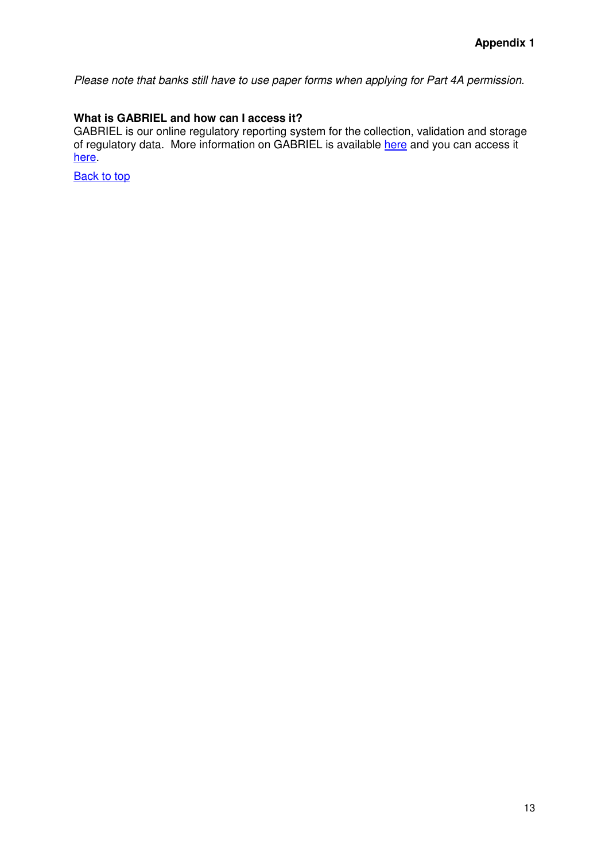*Please note that banks still have to use paper forms when applying for Part 4A permission.*

#### **What is GABRIEL and how can I access it?**

GABRIEL is our online regulatory reporting system for the collection, validation and storage of regulatory data. More information on GABRIEL is available [here](https://gabriel.fca.org.uk/portal_authentication_service/appmanager/merportal/desktop) and you can access it [here.](https://gabriel.fca.org.uk/portal_authentication_service/appmanager/merportal/desktop)

**[Back to top](#page-35-1)**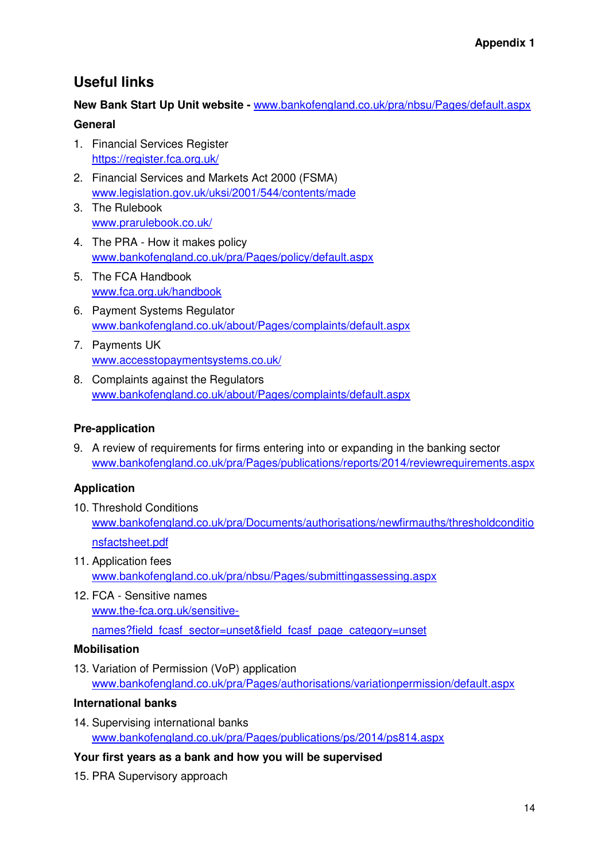# **Useful links**

### **New Bank Start Up Unit website -** [www.bankofengland.co.uk/pra/nbsu/Pages/default.aspx](http://www.bankofengland.co.uk/pra/nbsu/Pages/default.aspx)

### **General**

- 1. Financial Services Register <https://register.fca.org.uk/>
- 2. Financial Services and Markets Act 2000 (FSMA) [www.legislation.gov.uk/uksi/2001/544/contents/made](http://www.legislation.gov.uk/uksi/2001/544/contents/made)
- 3. The Rulebook [www.prarulebook.co.uk/](http://www.prarulebook.co.uk/)
- 4. The PRA How it makes policy [www.bankofengland.co.uk/pra/Pages/policy/default.aspx](http://www.bankofengland.co.uk/pra/Pages/policy/default.aspx)
- 5. The FCA Handbook [www.fca.org.uk/handbook](http://www.fca.org.uk/handbook)
- 6. Payment Systems Regulator [www.bankofengland.co.uk/about/Pages/complaints/default.aspx](http://www.bankofengland.co.uk/about/Pages/complaints/default.aspx)
- 7. Payments UK [www.accesstopaymentsystems.co.uk/](http://www.accesstopaymentsystems.co.uk/)
- 8. Complaints against the Regulators [www.bankofengland.co.uk/about/Pages/complaints/default.aspx](http://www.bankofengland.co.uk/about/Pages/complaints/default.aspx)

# **Pre-application**

9. A review of requirements for firms entering into or expanding in the banking sector [www.bankofengland.co.uk/pra/Pages/publications/reports/2014/reviewrequirements.aspx](http://www.bankofengland.co.uk/pra/Pages/publications/reports/2014/reviewrequirements.aspx)

# **Application**

- 10. Threshold Conditions [www.bankofengland.co.uk/pra/Documents/authorisations/newfirmauths/thresholdconditio](http://www.bankofengland.co.uk/pra/Documents/authorisations/newfirmauths/thresholdconditionsfactsheet.pdf) [nsfactsheet.pdf](http://www.bankofengland.co.uk/pra/Documents/authorisations/newfirmauths/thresholdconditionsfactsheet.pdf)
- 11. Application fees [www.bankofengland.co.uk/pra/nbsu/Pages/submittingassessing.aspx](http://www.bankofengland.co.uk/pra/nbsu/Pages/submittingassessing.aspx)
- 12. FCA Sensitive names [www.the-fca.org.uk/sensitive](http://www.the-fca.org.uk/sensitive-names?field_fcasf_sector=unset&field_fcasf_page_category=unset)[names?field\\_fcasf\\_sector=unset&field\\_fcasf\\_page\\_category=unset](http://www.the-fca.org.uk/sensitive-names?field_fcasf_sector=unset&field_fcasf_page_category=unset)

# **Mobilisation**

13. Variation of Permission (VoP) application [www.bankofengland.co.uk/pra/Pages/authorisations/variationpermission/default.aspx](http://www.bankofengland.co.uk/pra/Pages/authorisations/variationpermission/default.aspx)

# **International banks**

14. Supervising international banks [www.bankofengland.co.uk/pra/Pages/publications/ps/2014/ps814.aspx](http://www.bankofengland.co.uk/pra/Pages/publications/ps/2014/ps814.aspx)

# **Your first years as a bank and how you will be supervised**

15. PRA Supervisory approach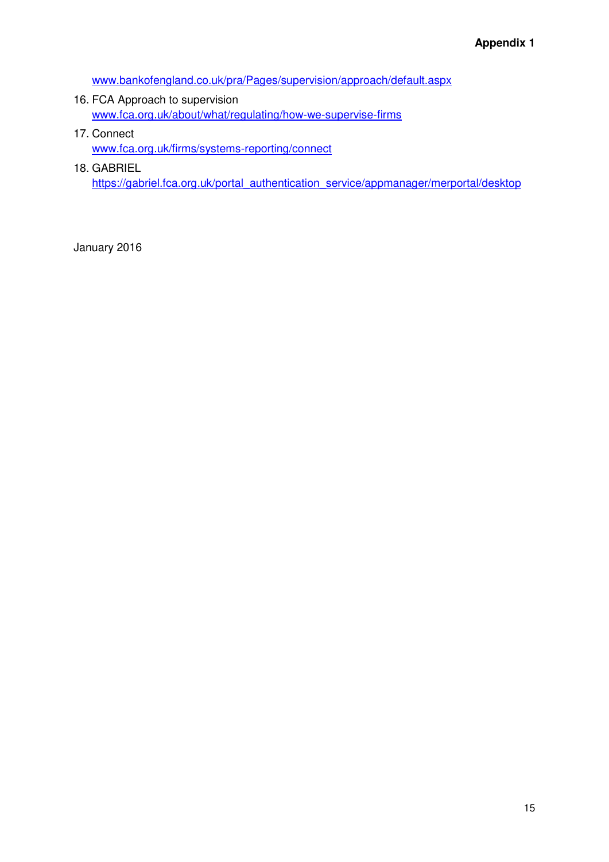[www.bankofengland.co.uk/pra/Pages/supervision/approach/default.aspx](http://www.bankofengland.co.uk/pra/Pages/supervision/approach/default.aspx)

- 16. FCA Approach to supervision [www.fca.org.uk/about/what/regulating/how-we-supervise-firms](http://www.fca.org.uk/about/what/regulating/how-we-supervise-firms)
- 17. Connect [www.fca.org.uk/firms/systems-reporting/connect](http://www.fca.org.uk/firms/systems-reporting/connect)
- 18. GABRIEL [https://gabriel.fca.org.uk/portal\\_authentication\\_service/appmanager/merportal/desktop](https://gabriel.fca.org.uk/portal_authentication_service/appmanager/merportal/desktop)

January 2016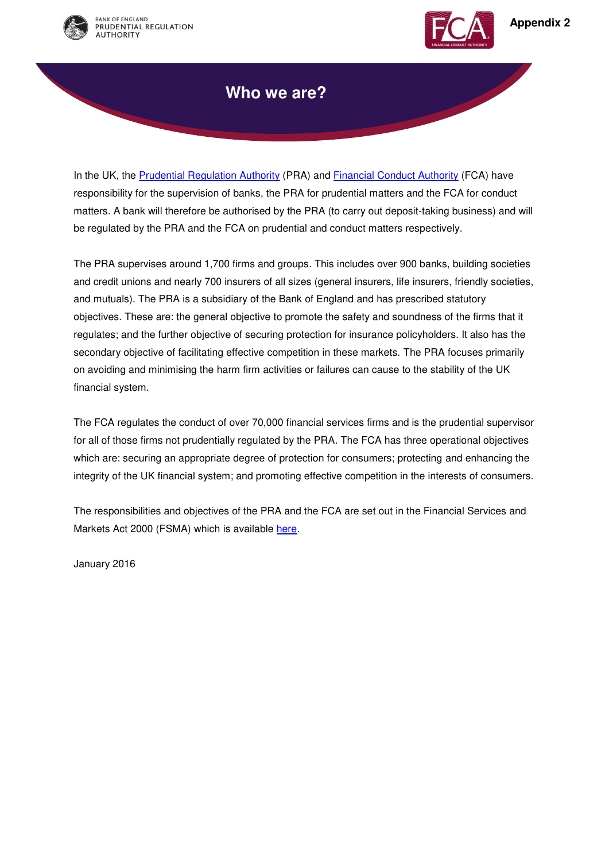



# **Who we are?**

In the UK, the [Prudential Regulation Authority](http://www.bankofengland.co.uk/pra/Pages/default.aspx) (PRA) and [Financial Conduct Authority](http://www.fca.org.uk/) (FCA) have responsibility for the supervision of banks, the PRA for prudential matters and the FCA for conduct matters. A bank will therefore be authorised by the PRA (to carry out deposit-taking business) and will be regulated by the PRA and the FCA on prudential and conduct matters respectively.

The PRA supervises around 1,700 firms and groups. This includes over 900 banks, building societies and credit unions and nearly 700 insurers of all sizes (general insurers, life insurers, friendly societies, and mutuals). The PRA is a subsidiary of the Bank of England and has prescribed statutory objectives. These are: the general objective to promote the safety and soundness of the firms that it regulates; and the further objective of securing protection for insurance policyholders. It also has the secondary objective of facilitating effective competition in these markets. The PRA focuses primarily on avoiding and minimising the harm firm activities or failures can cause to the stability of the UK financial system.

The FCA regulates the conduct of over 70,000 financial services firms and is the prudential supervisor for all of those firms not prudentially regulated by the PRA. The FCA has three operational objectives which are: securing an appropriate degree of protection for consumers; protecting and enhancing the integrity of the UK financial system; and promoting effective competition in the interests of consumers.

The responsibilities and objectives of the PRA and the FCA are set out in the Financial Services and Markets Act 2000 (FSMA) which is available [here.](http://www.legislation.gov.uk/ukpga/2000/8/contents)

January 2016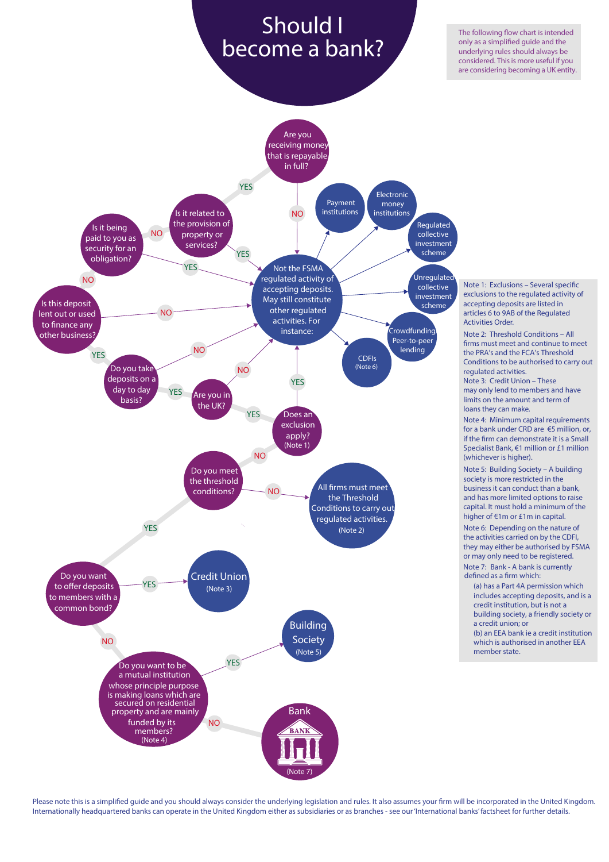# **Should I become a bank?**

The following flow chart is intended only as a simplified guide and the underlying rules should always be considered. This is more useful if you are considering becoming a UK entity.



Please note this is a simplified guide and you should always consider the underlying legislation and rules. It also assumes your firm will be incorporated in the United Kingdom. Internationally headquartered banks can operate in the United Kingdom either as subsidiaries or as branches - see our ['International banks' factsheet](http://www.bankofengland.co.uk/pra/Documents/authorisations/newfirmauths/internationalbanks.pdf) for further details.

**Note 1:** Exclusions – Several specific exclusions to the regulated activity of accepting deposits are listed in articles 6 to 9AB of the Regulated Activities Order.

**Note 2:** [Threshold Conditions](http://www.bankofengland.co.uk/pra/Documents/authorisations/newfirmauths/thresholdconditionsfactsheet.pdf) – All firms must meet and continue to meet the PRA's and the FCA's Threshold Conditions to be authorised to carry out regulated activities.

**Note 3: [Credit Union](http://www.bankofengland.co.uk/pra/Documents/authorisations/newfirmauths/alternativestobeingabank.pdf)** – These may only lend to members and have limits on the amount and term of loans they can make.

**Note 4:** Minimum capital requirements for a bank under CRD are €5 million, or, if the firm can demonstrate it is a Small Specialist Bank, €1 million or £1 million (whichever is higher).

**Note 5:** [Building Society –](http://www.bankofengland.co.uk/pra/Documents/authorisations/newfirmauths/alternativestobeingabank.pdf) A building society is more restricted in the business it can conduct than a bank, and has more limited options to raise capital. It must hold a minimum of the higher of €1m or £1m in capital.

**Note 6:** Depending on the nature of the activities carried on by the CDFI, they may either be authorised by FSMA or may only need to be registered.

**Note 7: Bank - A bank is currently defined as a firm which:**

(a) has a Part 4A permission which includes accepting deposits, and is a credit institution, but is not a building society, a friendly society or a credit union; or

(b) an EEA bank ie a credit institution which is authorised in another EEA member state.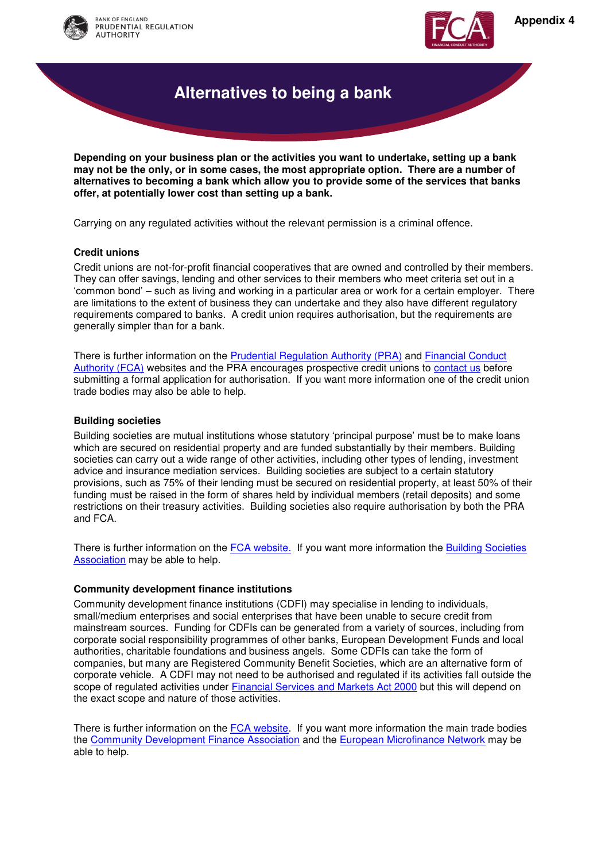



# **Alternatives to being a bank**

**Depending on your business plan or the activities you want to undertake, setting up a bank may not be the only, or in some cases, the most appropriate option. There are a number of alternatives to becoming a bank which allow you to provide some of the services that banks offer, at potentially lower cost than setting up a bank.** 

Carrying on any regulated activities without the relevant permission is a criminal offence.

#### **Credit unions**

Credit unions are not-for-profit financial cooperatives that are owned and controlled by their members. They can offer savings, lending and other services to their members who meet criteria set out in a 'common bond' – such as living and working in a particular area or work for a certain employer. There are limitations to the extent of business they can undertake and they also have different regulatory requirements compared to banks. A credit union requires authorisation, but the requirements are generally simpler than for a bank.

There is further information on the [Prudential Regulation Authority \(PRA\) a](http://www.bankofengland.co.uk/pra/Pages/supervision/creditunions/default.aspx)nd [Financial Conduct](https://www.the-fca.org.uk/credit-unions?field_fcasf_sector=221&field_fcasf_page_category=unset)  [Authority \(FCA\)](https://www.the-fca.org.uk/credit-unions?field_fcasf_sector=221&field_fcasf_page_category=unset) websites and the PRA encourages prospective credit unions to [contact us](http://www.bankofengland.co.uk/pages/contact.aspx) before submitting a formal application for authorisation. If you want more information one of the credit union trade bodies may also be able to help.

#### **Building societies**

Building societies are mutual institutions whose statutory 'principal purpose' must be to make loans which are secured on residential property and are funded substantially by their members. Building societies can carry out a wide range of other activities, including other types of lending, investment advice and insurance mediation services. Building societies are subject to a certain statutory provisions, such as 75% of their lending must be secured on residential property, at least 50% of their funding must be raised in the form of shares held by individual members (retail deposits) and some restrictions on their treasury activities. Building societies also require authorisation by both the PRA and FCA.

There is further information on the [FCA website.](https://www.the-fca.org.uk/firms-sectors/bank-or-building-society-or-credit-union) If you want more information the Building Societies [Association](http://www.bsa.org.uk/) may be able to help.

#### **Community development finance institutions**

Community development finance institutions (CDFI) may specialise in lending to individuals, small/medium enterprises and social enterprises that have been unable to secure credit from mainstream sources. Funding for CDFIs can be generated from a variety of sources, including from corporate social responsibility programmes of other banks, European Development Funds and local authorities, charitable foundations and business angels. Some CDFIs can take the form of companies, but many are Registered Community Benefit Societies, which are an alternative form of corporate vehicle. A CDFI may not need to be authorised and regulated if its activities fall outside the scope of regulated activities under [Financial Services and Markets Act 2000](https://www.gov.uk/government/uploads/system/uploads/attachment_data/file/81410/consolidated_fsma050911.pdf) but this will depend on the exact scope and nature of those activities.

There is further information on the [FCA website.](https://www.the-fca.org.uk/registered-societies-introduction) If you want more information the main trade bodies the [Community Development Finance Association](http://www.cdfa.org.uk/) and the [European Microfinance Network](http://www.european-microfinance.org/) may be able to help.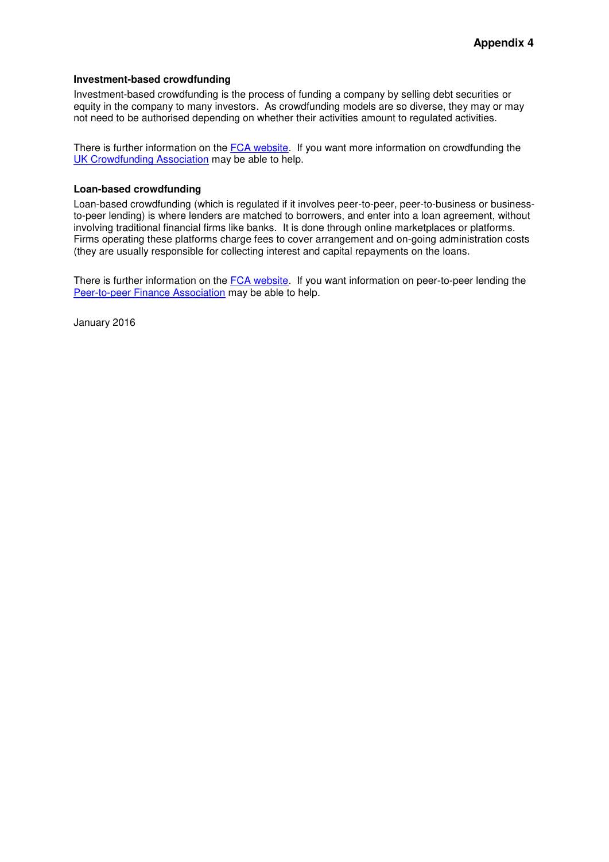#### **Investment-based crowdfunding**

Investment-based crowdfunding is the process of funding a company by selling debt securities or equity in the company to many investors. As crowdfunding models are so diverse, they may or may not need to be authorised depending on whether their activities amount to regulated activities.

There is further information on the [FCA website.](https://www.the-fca.org.uk/authorisation-banks-and-lending-alternatives?field_fcasf_sector=unset&field_fcasf_page_category=unset) If you want more information on crowdfunding the [UK Crowdfunding Association](http://www.ukcfa.org.uk/) may be able to help.

#### **Loan-based crowdfunding**

Loan-based crowdfunding (which is regulated if it involves peer-to-peer, peer-to-business or businessto-peer lending) is where lenders are matched to borrowers, and enter into a loan agreement, without involving traditional financial firms like banks. It is done through online marketplaces or platforms. Firms operating these platforms charge fees to cover arrangement and on-going administration costs (they are usually responsible for collecting interest and capital repayments on the loans.

There is further information on the [FCA website.](https://www.the-fca.org.uk/authorisation-banks-and-lending-alternatives?field_fcasf_sector=unset&field_fcasf_page_category=unset) If you want information on peer-to-peer lending the [Peer-to-peer Finance Association](http://p2pfa.info/) may be able to help.

January 2016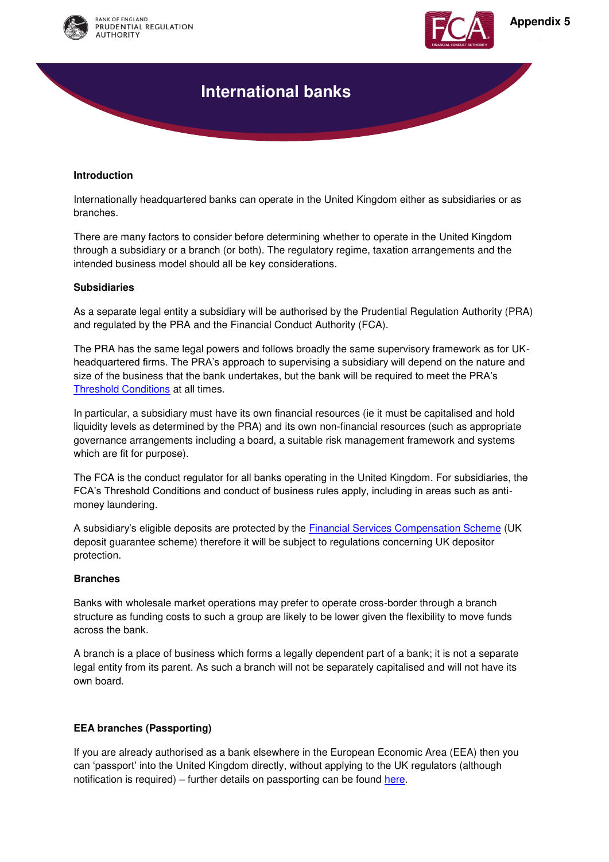



# **International banks**

#### **Introduction**

Internationally headquartered banks can operate in the United Kingdom either as subsidiaries or as branches.

There are many factors to consider before determining whether to operate in the United Kingdom through a subsidiary or a branch (or both). The regulatory regime, taxation arrangements and the intended business model should all be key considerations.

#### **Subsidiaries**

As a separate legal entity a subsidiary will be authorised by the Prudential Regulation Authority (PRA) and regulated by the PRA and the Financial Conduct Authority (FCA).

The PRA has the same legal powers and follows broadly the same supervisory framework as for UKheadquartered firms. The PRA's approach to supervising a subsidiary will depend on the nature and size of the business that the bank undertakes, but the bank will be required to meet the PRA's [Threshold Conditions](http://www.bankofengland.co.uk/pra/Documents/authorisations/newfirmauths/thresholdconditionsfactsheet.pdf) at all times.

In particular, a subsidiary must have its own financial resources (ie it must be capitalised and hold liquidity levels as determined by the PRA) and its own non-financial resources (such as appropriate governance arrangements including a board, a suitable risk management framework and systems which are fit for purpose).

The FCA is the conduct regulator for all banks operating in the United Kingdom. For subsidiaries, the FCA's Threshold Conditions and conduct of business rules apply, including in areas such as antimoney laundering.

A subsidiary's eligible deposits are protected by the [Financial Services Compensation Scheme](http://www.fscs.org.uk/) (UK deposit guarantee scheme) therefore it will be subject to regulations concerning UK depositor protection.

#### **Branches**

Banks with wholesale market operations may prefer to operate cross-border through a branch structure as funding costs to such a group are likely to be lower given the flexibility to move funds across the bank.

A branch is a place of business which forms a legally dependent part of a bank; it is not a separate legal entity from its parent. As such a branch will not be separately capitalised and will not have its own board.

#### **EEA branches (Passporting)**

If you are already authorised as a bank elsewhere in the European Economic Area (EEA) then you can 'passport' into the United Kingdom directly, without applying to the UK regulators (although notification is required) – further details on passporting can be found [here.](https://www.the-fca.org.uk/passporting?field_fcasf_sector=251&field_fcasf_page_category=unset)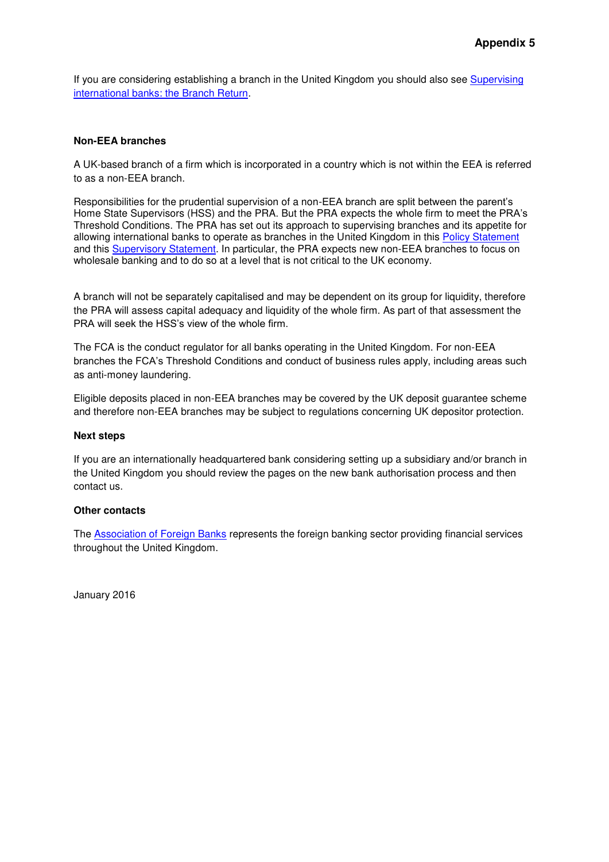If you are considering establishing a branch in the United Kingdom you should also see [Supervising](http://www.bankofengland.co.uk/pra/Pages/publications/ps/2015/ps815.aspx)  [international banks: the Branch Return.](http://www.bankofengland.co.uk/pra/Pages/publications/ps/2015/ps815.aspx)

#### **Non-EEA branches**

A UK-based branch of a firm which is incorporated in a country which is not within the EEA is referred to as a non-EEA branch.

Responsibilities for the prudential supervision of a non-EEA branch are split between the parent's Home State Supervisors (HSS) and the PRA. But the PRA expects the whole firm to meet the PRA's Threshold Conditions. The PRA has set out its approach to supervising branches and its appetite for allowing international banks to operate as branches in the United Kingdom in this [Policy Statement](http://www.bankofengland.co.uk/pra/Pages/publications/ps/2014/ps814.aspx) and this [Supervisory Statement.](http://www.bankofengland.co.uk/pra/Pages/publications/ps/2014/ps814.aspx) In particular, the PRA expects new non-EEA branches to focus on wholesale banking and to do so at a level that is not critical to the UK economy.

A branch will not be separately capitalised and may be dependent on its group for liquidity, therefore the PRA will assess capital adequacy and liquidity of the whole firm. As part of that assessment the PRA will seek the HSS's view of the whole firm.

The FCA is the conduct regulator for all banks operating in the United Kingdom. For non-EEA branches the FCA's Threshold Conditions and conduct of business rules apply, including areas such as anti-money laundering.

Eligible deposits placed in non-EEA branches may be covered by the UK deposit guarantee scheme and therefore non-EEA branches may be subject to regulations concerning UK depositor protection.

#### **Next steps**

If you are an internationally headquartered bank considering setting up a subsidiary and/or branch in the United Kingdom you should review the pages on the new bank authorisation process and then contact us.

#### **Other contacts**

The [Association of Foreign Banks](http://www.foreignbanks.org.uk/) represents the foreign banking sector providing financial services throughout the United Kingdom.

January 2016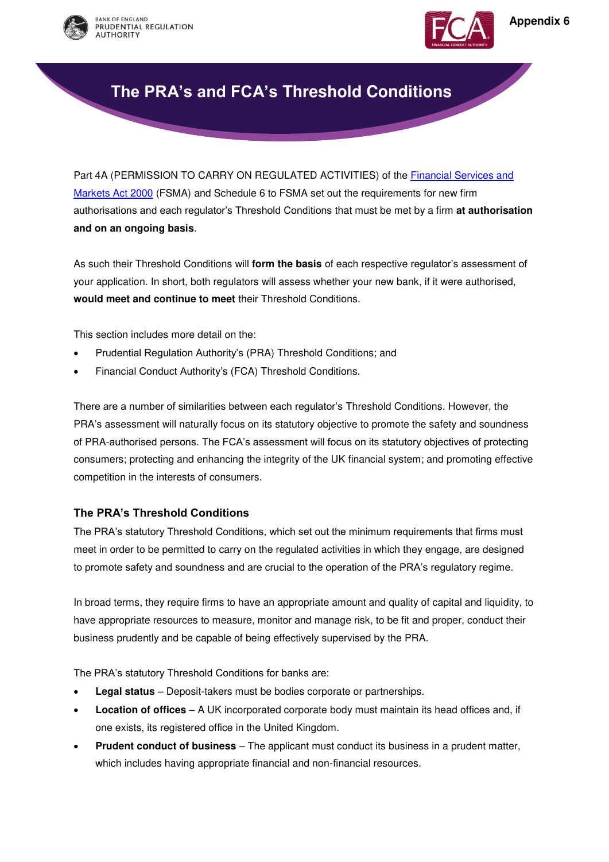



# **The PRA's and FCA's Threshold Conditions**

Part 4A (PERMISSION TO CARRY ON REGULATED ACTIVITIES) of the [Financial Services and](https://www.gov.uk/government/uploads/system/uploads/attachment_data/file/81410/consolidated_fsma050911.pdf)  [Markets Act 2000](https://www.gov.uk/government/uploads/system/uploads/attachment_data/file/81410/consolidated_fsma050911.pdf) (FSMA) and Schedule 6 to FSMA set out the requirements for new firm authorisations and each regulator's Threshold Conditions that must be met by a firm **at authorisation and on an ongoing basis**.

As such their Threshold Conditions will **form the basis** of each respective regulator's assessment of your application. In short, both regulators will assess whether your new bank, if it were authorised, **would meet and continue to meet** their Threshold Conditions.

This section includes more detail on the:

- Prudential Regulation Authority's (PRA) Threshold Conditions; and
- Financial Conduct Authority's (FCA) Threshold Conditions.

There are a number of similarities between each regulator's Threshold Conditions. However, the PRA's assessment will naturally focus on its statutory objective to promote the safety and soundness of PRA-authorised persons. The FCA's assessment will focus on its statutory objectives of protecting consumers; protecting and enhancing the integrity of the UK financial system; and promoting effective competition in the interests of consumers.

#### **The PRA's Threshold Conditions**

The PRA's statutory Threshold Conditions, which set out the minimum requirements that firms must meet in order to be permitted to carry on the regulated activities in which they engage, are designed to promote safety and soundness and are crucial to the operation of the PRA's regulatory regime.

In broad terms, they require firms to have an appropriate amount and quality of capital and liquidity, to have appropriate resources to measure, monitor and manage risk, to be fit and proper, conduct their business prudently and be capable of being effectively supervised by the PRA.

The PRA's statutory Threshold Conditions for banks are:

- **Legal status** Deposit-takers must be bodies corporate or partnerships.
- **Location of offices** A UK incorporated corporate body must maintain its head offices and, if one exists, its registered office in the United Kingdom.
- **Prudent conduct of business** The applicant must conduct its business in a prudent matter, which includes having appropriate financial and non-financial resources.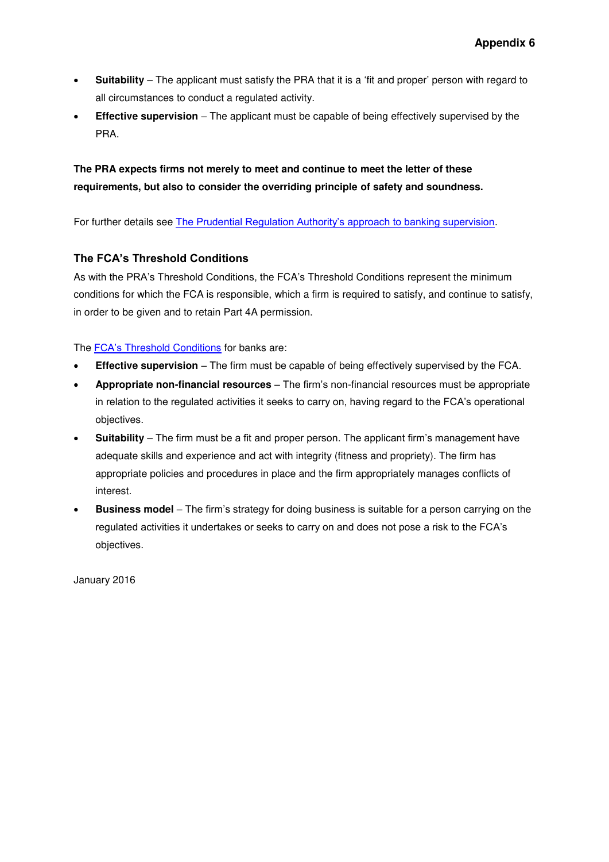- **Suitability** The applicant must satisfy the PRA that it is a 'fit and proper' person with regard to all circumstances to conduct a regulated activity.
- **Effective supervision** The applicant must be capable of being effectively supervised by the PRA.

### **The PRA expects firms not merely to meet and continue to meet the letter of these requirements, but also to consider the overriding principle of safety and soundness.**

For further details see [The Prudential Regulation Authority's approach to banking supervision](http://www.bankofengland.co.uk/publications/Pages/other/pra/supervisoryapproach.aspx).

#### **The FCA's Threshold Conditions**

As with the PRA's Threshold Conditions, the FCA's Threshold Conditions represent the minimum conditions for which the FCA is responsible, which a firm is required to satisfy, and continue to satisfy, in order to be given and to retain Part 4A permission.

The **FCA's Threshold Conditions** for banks are:

- **Effective supervision** The firm must be capable of being effectively supervised by the FCA.
- **Appropriate non-financial resources** The firm's non-financial resources must be appropriate in relation to the regulated activities it seeks to carry on, having regard to the FCA's operational objectives.
- **Suitability** The firm must be a fit and proper person. The applicant firm's management have adequate skills and experience and act with integrity (fitness and propriety). The firm has appropriate policies and procedures in place and the firm appropriately manages conflicts of interest.
- **Business model** The firm's strategy for doing business is suitable for a person carrying on the regulated activities it undertakes or seeks to carry on and does not pose a risk to the FCA's objectives.

January 2016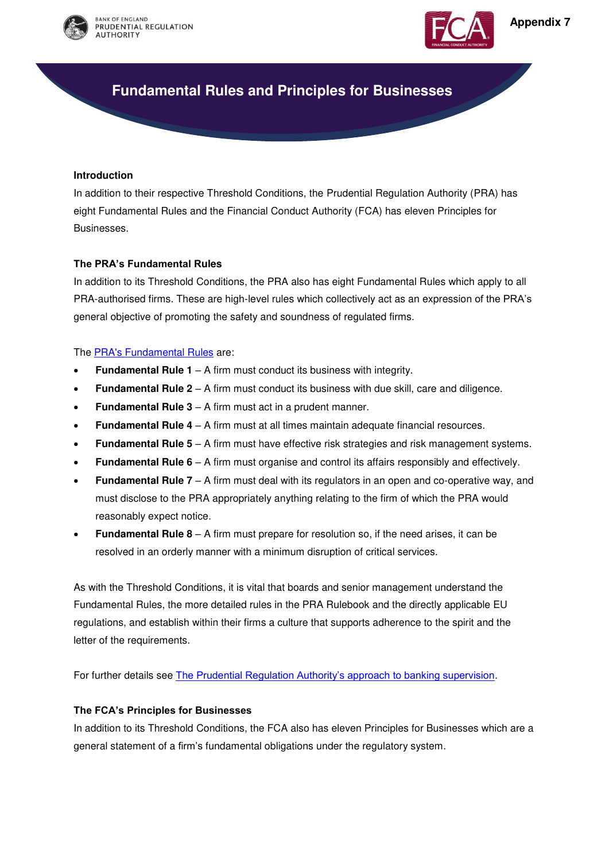



# **Fundamental Rules and Principles for Businesses**

#### **Introduction**

In addition to their respective Threshold Conditions, the Prudential Regulation Authority (PRA) has eight Fundamental Rules and the Financial Conduct Authority (FCA) has eleven Principles for Businesses.

#### **The PRA's Fundamental Rules**

In addition to its Threshold Conditions, the PRA also has eight Fundamental Rules which apply to all PRA-authorised firms. These are high-level rules which collectively act as an expression of the PRA's general objective of promoting the safety and soundness of regulated firms.

The [PRA's Fundamental Rules](http://www.prarulebook.co.uk/rulebook/Content/Part/211136/30-11-2015) are:

- **Fundamental Rule 1** A firm must conduct its business with integrity.
- **Fundamental Rule 2** A firm must conduct its business with due skill, care and diligence.
- **Fundamental Rule 3** A firm must act in a prudent manner.
- **Fundamental Rule 4** A firm must at all times maintain adequate financial resources.
- **Fundamental Rule 5** A firm must have effective risk strategies and risk management systems.
- **Fundamental Rule 6** A firm must organise and control its affairs responsibly and effectively.
- **Fundamental Rule 7** A firm must deal with its regulators in an open and co-operative way, and must disclose to the PRA appropriately anything relating to the firm of which the PRA would reasonably expect notice.
- **Fundamental Rule 8** A firm must prepare for resolution so, if the need arises, it can be resolved in an orderly manner with a minimum disruption of critical services.

As with the Threshold Conditions, it is vital that boards and senior management understand the Fundamental Rules, the more detailed rules in the PRA Rulebook and the directly applicable EU regulations, and establish within their firms a culture that supports adherence to the spirit and the letter of the requirements.

For further details see [The Prudential Regulation Authority's approach to banking supervision](http://www.bankofengland.co.uk/publications/Pages/other/pra/supervisoryapproach.aspx).

#### **The FCA's Principles for Businesses**

In addition to its Threshold Conditions, the FCA also has eleven Principles for Businesses which are a general statement of a firm's fundamental obligations under the regulatory system.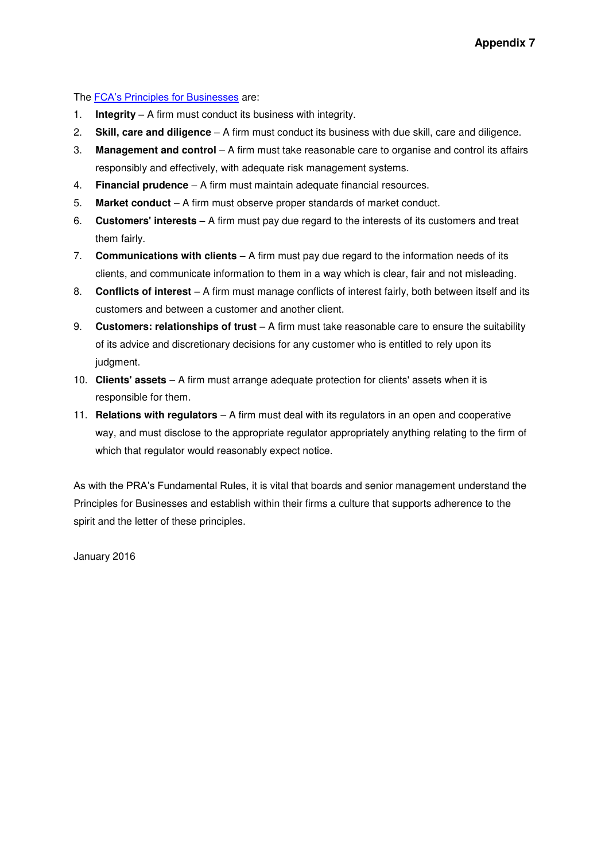The [FCA's Principles for Businesses](https://www.handbook.fca.org.uk/handbook/PRIN/2/1.html) are:

- 1. **Integrity** A firm must conduct its business with integrity.
- 2. **Skill, care and diligence** A firm must conduct its business with due skill, care and diligence.
- 3. **Management and control** A firm must take reasonable care to organise and control its affairs responsibly and effectively, with adequate risk management systems.
- 4. **Financial prudence** A firm must maintain adequate financial resources.
- 5. **Market conduct** A firm must observe proper standards of market conduct.
- 6. **Customers' interests** A firm must pay due regard to the interests of its customers and treat them fairly.
- 7. **Communications with clients** A firm must pay due regard to the information needs of its clients, and communicate information to them in a way which is clear, fair and not misleading.
- 8. **Conflicts of interest** A firm must manage conflicts of interest fairly, both between itself and its customers and between a customer and another client.
- 9. **Customers: relationships of trust** A firm must take reasonable care to ensure the suitability of its advice and discretionary decisions for any customer who is entitled to rely upon its judgment.
- 10. **Clients' assets** A firm must arrange adequate protection for clients' assets when it is responsible for them.
- 11. **Relations with regulators** A firm must deal with its regulators in an open and cooperative way, and must disclose to the appropriate regulator appropriately anything relating to the firm of which that regulator would reasonably expect notice.

As with the PRA's Fundamental Rules, it is vital that boards and senior management understand the Principles for Businesses and establish within their firms a culture that supports adherence to the spirit and the letter of these principles.

January 2016